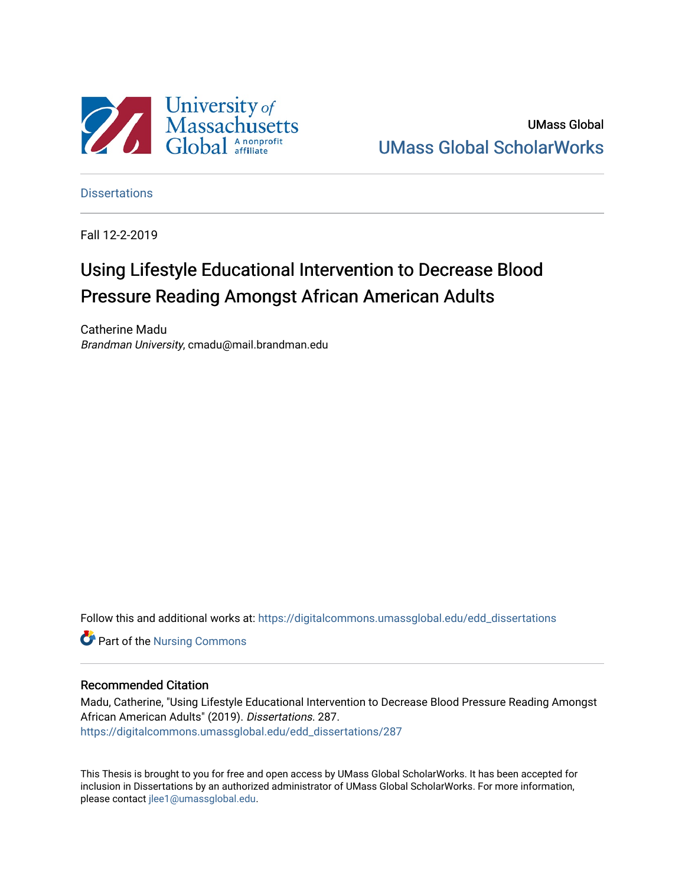

UMass Global [UMass Global ScholarWorks](https://digitalcommons.umassglobal.edu/) 

**Dissertations** 

Fall 12-2-2019

# Using Lifestyle Educational Intervention to Decrease Blood Pressure Reading Amongst African American Adults

Catherine Madu Brandman University, cmadu@mail.brandman.edu

Follow this and additional works at: [https://digitalcommons.umassglobal.edu/edd\\_dissertations](https://digitalcommons.umassglobal.edu/edd_dissertations?utm_source=digitalcommons.umassglobal.edu%2Fedd_dissertations%2F287&utm_medium=PDF&utm_campaign=PDFCoverPages) 

Part of the [Nursing Commons](http://network.bepress.com/hgg/discipline/718?utm_source=digitalcommons.umassglobal.edu%2Fedd_dissertations%2F287&utm_medium=PDF&utm_campaign=PDFCoverPages) 

#### Recommended Citation

Madu, Catherine, "Using Lifestyle Educational Intervention to Decrease Blood Pressure Reading Amongst African American Adults" (2019). Dissertations. 287. [https://digitalcommons.umassglobal.edu/edd\\_dissertations/287](https://digitalcommons.umassglobal.edu/edd_dissertations/287?utm_source=digitalcommons.umassglobal.edu%2Fedd_dissertations%2F287&utm_medium=PDF&utm_campaign=PDFCoverPages) 

This Thesis is brought to you for free and open access by UMass Global ScholarWorks. It has been accepted for inclusion in Dissertations by an authorized administrator of UMass Global ScholarWorks. For more information, please contact [jlee1@umassglobal.edu.](mailto:jlee1@umassglobal.edu)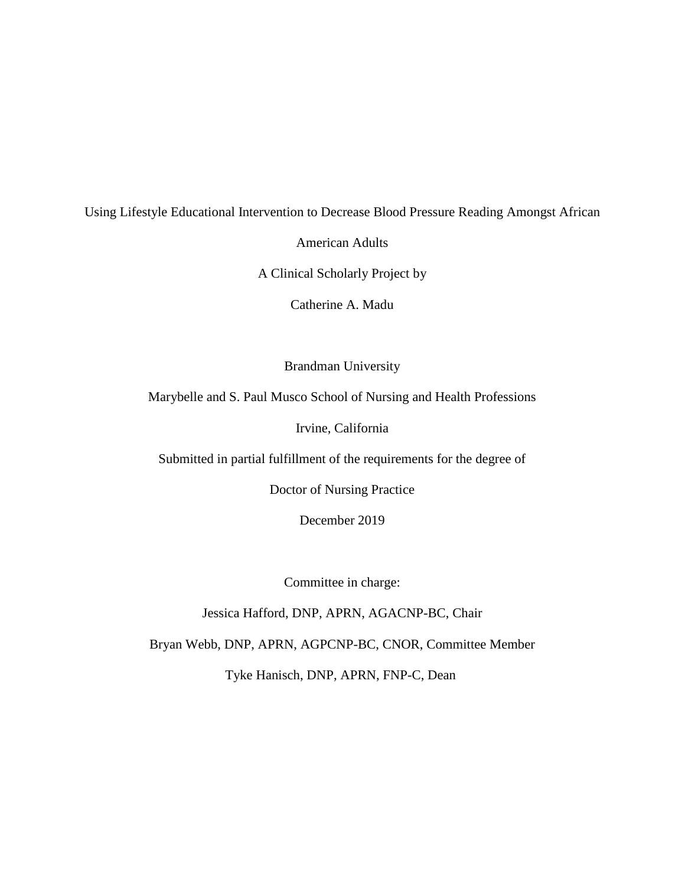## Using Lifestyle Educational Intervention to Decrease Blood Pressure Reading Amongst African

American Adults

A Clinical Scholarly Project by

Catherine A. Madu

Brandman University

Marybelle and S. Paul Musco School of Nursing and Health Professions

Irvine, California

Submitted in partial fulfillment of the requirements for the degree of

Doctor of Nursing Practice

December 2019

Committee in charge:

Jessica Hafford, DNP, APRN, AGACNP-BC, Chair

Bryan Webb, DNP, APRN, AGPCNP-BC, CNOR, Committee Member

Tyke Hanisch, DNP, APRN, FNP-C, Dean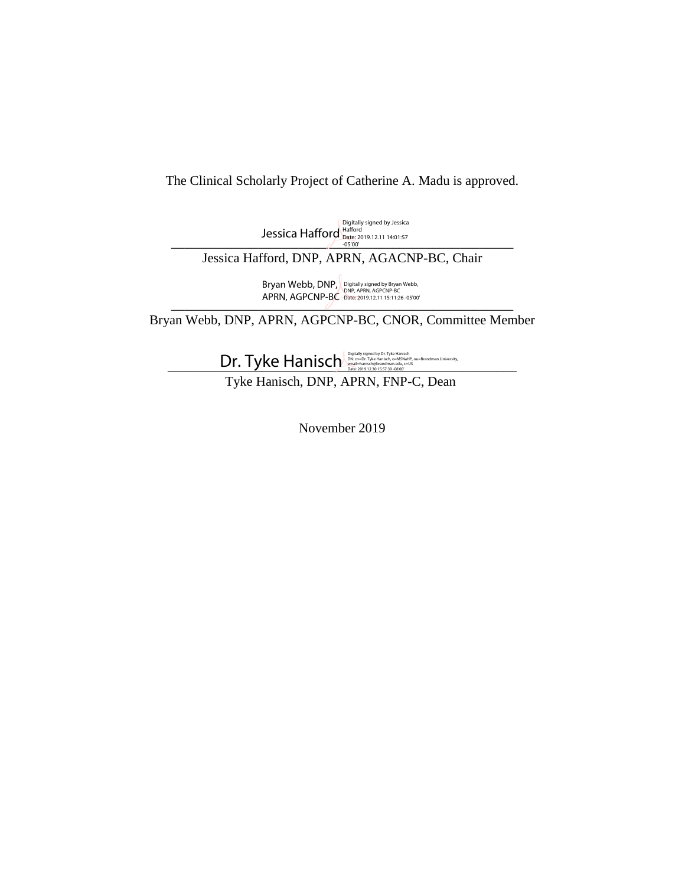## The Clinical Scholarly Project of Catherine A. Madu is approved.

Digitally signed by Jessica<br>
Jessica Hafford Date: 2019.12.11 14:01:57<br>-05'00'

Jessica Hafford, DNP, APRN, AGACNP-BC, Chair

AT HIY, AUT CIVE DECADED AND RELATED AND RELATED AND RELATED AND RELATED AND RELATED AND RELATED AND RELATED AND RELATED AND RELATED AND RELATED AND RELATED AND RELATED AND RELATED AND RELATED AND RELATED AND RELATED AND R Bryan Webb, DNP, APRN, AGPCNP-BC Digitally signed by Bryan Webb, DNP, APRN, AGPCNP-BC Date: 2019.12.11 15:11:26 -05'00'

Bryan Webb, DNP, APRN, AGPCNP-BC, CNOR, Committee Member

 $Dr. Tyke Hanksch  $\frac{p_{\text{global}}}{p_{\text{total}}}$$ 

Tyke Hanisch, DNP, APRN, FNP-C, Dean

November 2019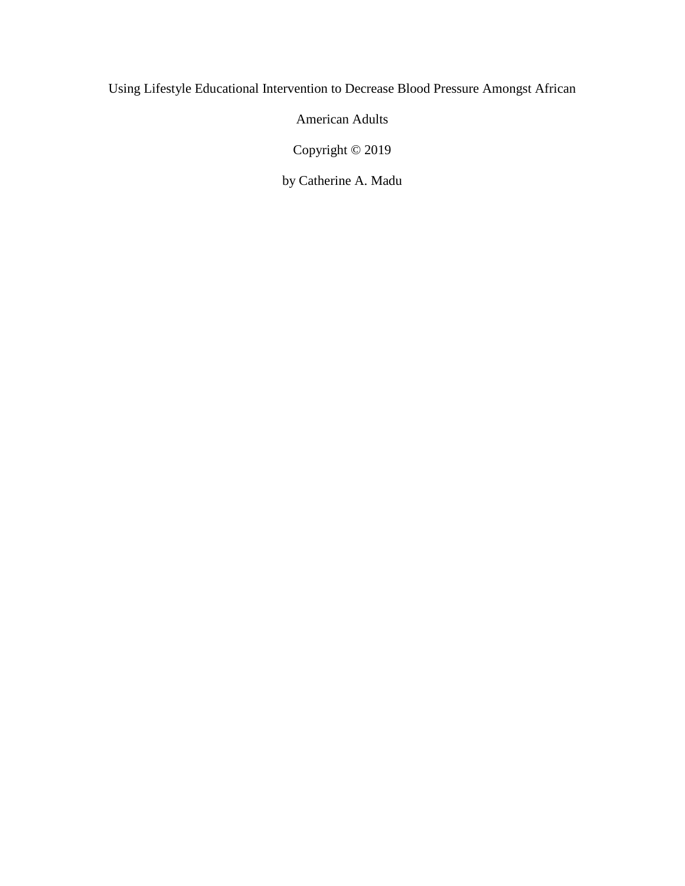## Using Lifestyle Educational Intervention to Decrease Blood Pressure Amongst African

American Adults

Copyright © 2019

by Catherine A. Madu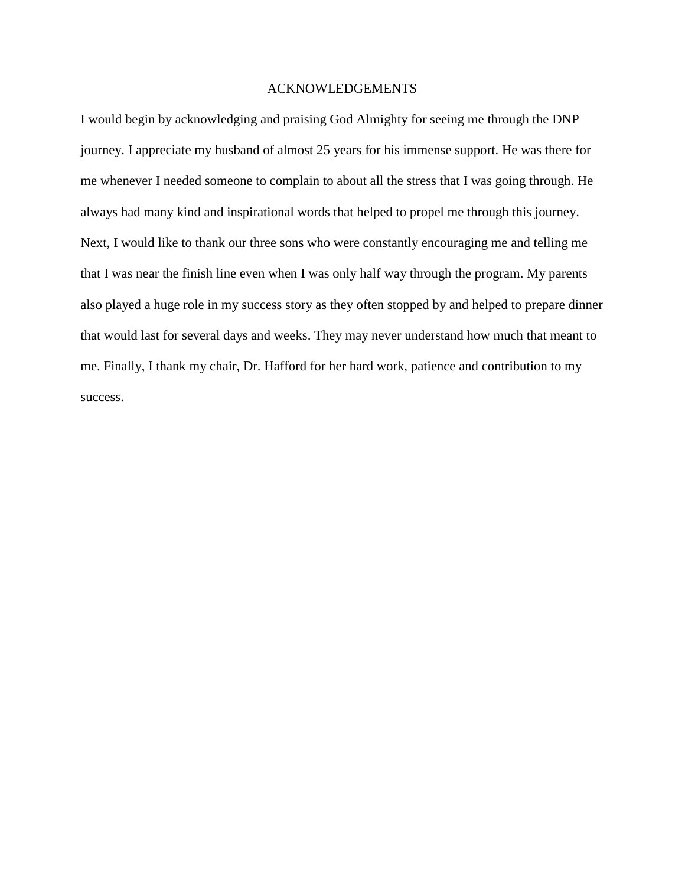### ACKNOWLEDGEMENTS

I would begin by acknowledging and praising God Almighty for seeing me through the DNP journey. I appreciate my husband of almost 25 years for his immense support. He was there for me whenever I needed someone to complain to about all the stress that I was going through. He always had many kind and inspirational words that helped to propel me through this journey. Next, I would like to thank our three sons who were constantly encouraging me and telling me that I was near the finish line even when I was only half way through the program. My parents also played a huge role in my success story as they often stopped by and helped to prepare dinner that would last for several days and weeks. They may never understand how much that meant to me. Finally, I thank my chair, Dr. Hafford for her hard work, patience and contribution to my success.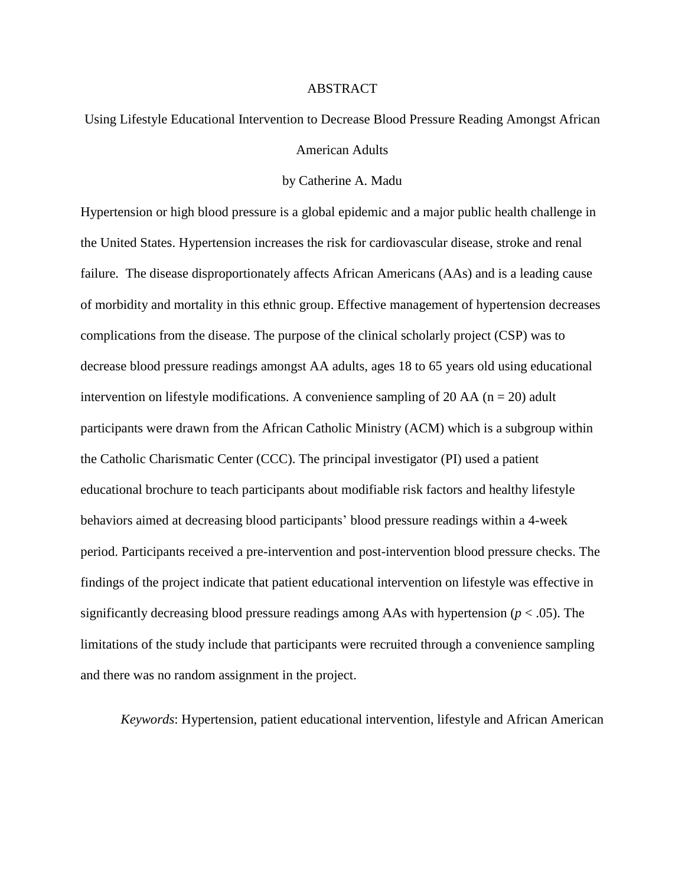#### ABSTRACT

## Using Lifestyle Educational Intervention to Decrease Blood Pressure Reading Amongst African American Adults

#### by Catherine A. Madu

Hypertension or high blood pressure is a global epidemic and a major public health challenge in the United States. Hypertension increases the risk for cardiovascular disease, stroke and renal failure. The disease disproportionately affects African Americans (AAs) and is a leading cause of morbidity and mortality in this ethnic group. Effective management of hypertension decreases complications from the disease. The purpose of the clinical scholarly project (CSP) was to decrease blood pressure readings amongst AA adults, ages 18 to 65 years old using educational intervention on lifestyle modifications. A convenience sampling of 20 AA ( $n = 20$ ) adult participants were drawn from the African Catholic Ministry (ACM) which is a subgroup within the Catholic Charismatic Center (CCC). The principal investigator (PI) used a patient educational brochure to teach participants about modifiable risk factors and healthy lifestyle behaviors aimed at decreasing blood participants' blood pressure readings within a 4-week period. Participants received a pre-intervention and post-intervention blood pressure checks. The findings of the project indicate that patient educational intervention on lifestyle was effective in significantly decreasing blood pressure readings among AAs with hypertension (*p* < .05). The limitations of the study include that participants were recruited through a convenience sampling and there was no random assignment in the project.

*Keywords*: Hypertension, patient educational intervention, lifestyle and African American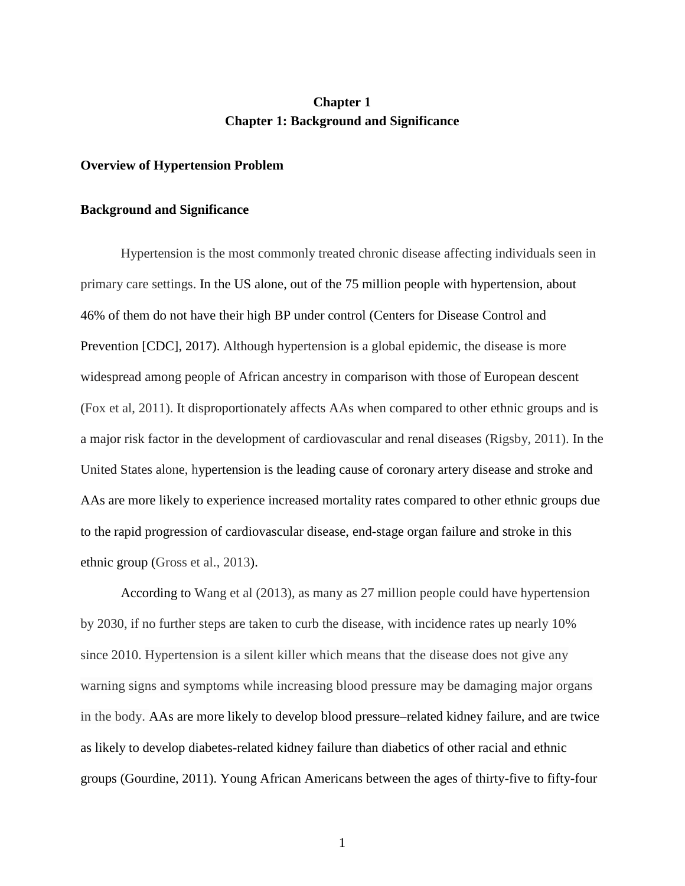## **Chapter 1 Chapter 1: Background and Significance**

#### **Overview of Hypertension Problem**

#### **Background and Significance**

Hypertension is the most commonly treated chronic disease affecting individuals seen in primary care settings. In the US alone, out of the 75 million people with hypertension, about 46% of them do not have their high BP under control (Centers for Disease Control and Prevention [CDC], 2017). Although hypertension is a global epidemic, the disease is more widespread among people of African ancestry in comparison with those of European descent (Fox et al, 2011). It disproportionately affects AAs when compared to other ethnic groups and is a major risk factor in the development of cardiovascular and renal diseases (Rigsby, 2011). In the United States alone, hypertension is the leading cause of coronary artery disease and stroke and AAs are more likely to experience increased mortality rates compared to other ethnic groups due to the rapid progression of cardiovascular disease, end-stage organ failure and stroke in this ethnic group (Gross et al., 2013).

According to Wang et al (2013), as many as 27 million people could have hypertension by 2030, if no further steps are taken to curb the disease, with incidence rates up nearly 10% since 2010. Hypertension is a silent killer which means that the disease does not give any warning signs and symptoms while increasing blood pressure may be damaging major organs in the body. AAs are more likely to develop blood pressure–related kidney failure, and are twice as likely to develop diabetes-related kidney failure than diabetics of other racial and ethnic groups (Gourdine, 2011). Young African Americans between the ages of thirty-five to fifty-four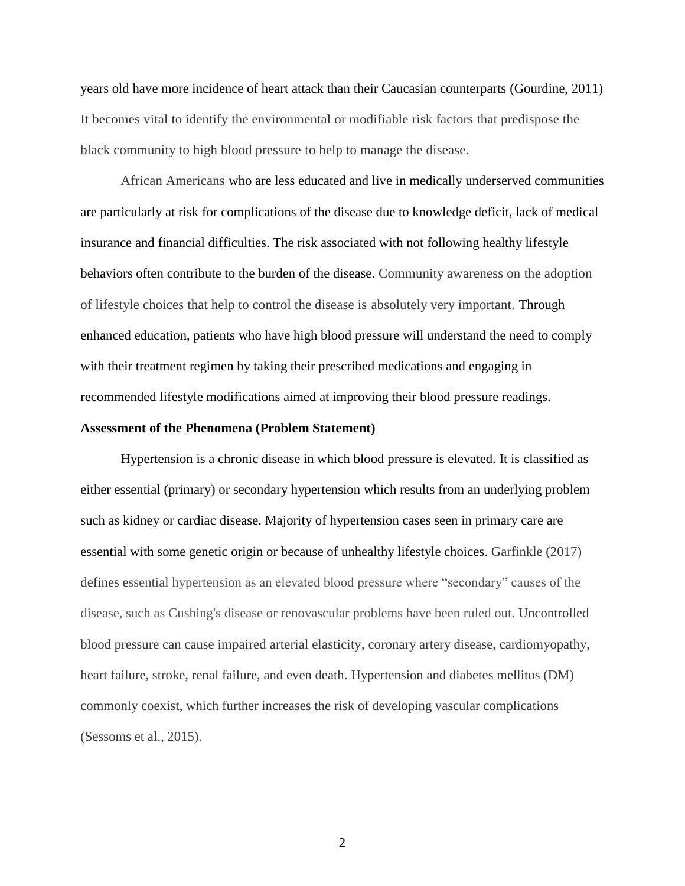years old have more incidence of heart attack than their Caucasian counterparts (Gourdine, 2011) It becomes vital to identify the environmental or modifiable risk factors that predispose the black community to high blood pressure to help to manage the disease.

African Americans who are less educated and live in medically underserved communities are particularly at risk for complications of the disease due to knowledge deficit, lack of medical insurance and financial difficulties. The risk associated with not following healthy lifestyle behaviors often contribute to the burden of the disease. Community awareness on the adoption of lifestyle choices that help to control the disease is absolutely very important. Through enhanced education, patients who have high blood pressure will understand the need to comply with their treatment regimen by taking their prescribed medications and engaging in recommended lifestyle modifications aimed at improving their blood pressure readings.

### **Assessment of the Phenomena (Problem Statement)**

Hypertension is a chronic disease in which blood pressure is elevated. It is classified as either essential (primary) or secondary hypertension which results from an underlying problem such as kidney or cardiac disease. Majority of hypertension cases seen in primary care are essential with some genetic origin or because of unhealthy lifestyle choices. Garfinkle (2017) defines essential hypertension as an elevated blood pressure where "secondary" causes of the disease, such as Cushing's disease or renovascular problems have been ruled out. Uncontrolled blood pressure can cause impaired arterial elasticity, coronary artery disease, cardiomyopathy, heart failure, stroke, renal failure, and even death. Hypertension and diabetes mellitus (DM) commonly coexist, which further increases the risk of developing vascular complications (Sessoms et al., 2015).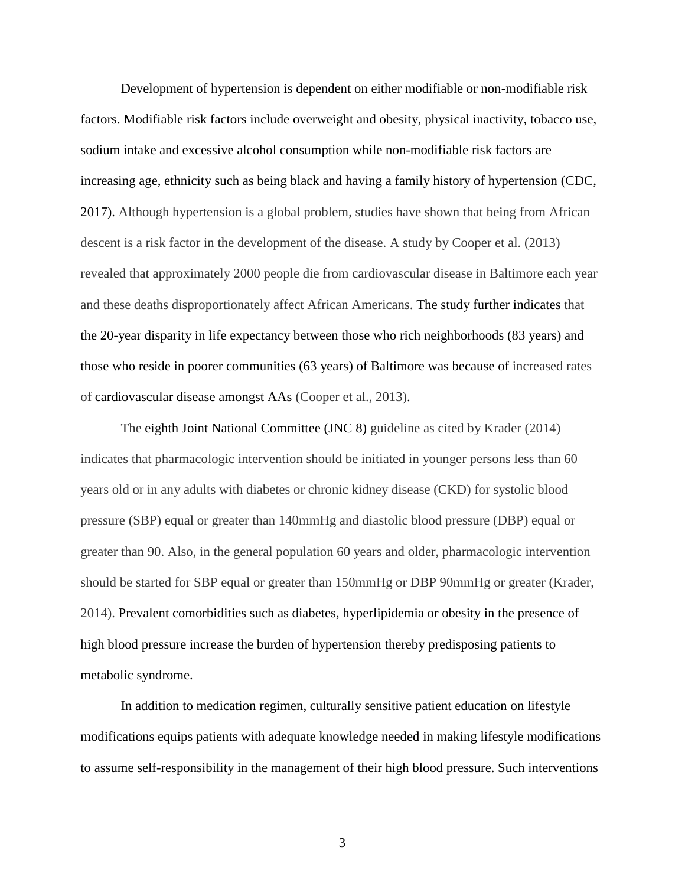Development of hypertension is dependent on either modifiable or non-modifiable risk factors. Modifiable risk factors include overweight and obesity, physical inactivity, tobacco use, sodium intake and excessive alcohol consumption while non-modifiable risk factors are increasing age, ethnicity such as being black and having a family history of hypertension (CDC, 2017). Although hypertension is a global problem, studies have shown that being from African descent is a risk factor in the development of the disease. A study by Cooper et al. (2013) revealed that approximately 2000 people die from cardiovascular disease in Baltimore each year and these deaths disproportionately affect African Americans. The study further indicates that the 20-year disparity in life expectancy between those who rich neighborhoods (83 years) and those who reside in poorer communities (63 years) of Baltimore was because of increased rates of cardiovascular disease amongst AAs (Cooper et al., 2013).

The eighth Joint National Committee (JNC 8) guideline as cited by Krader (2014) indicates that pharmacologic intervention should be initiated in younger persons less than 60 years old or in any adults with diabetes or chronic kidney disease (CKD) for systolic blood pressure (SBP) equal or greater than 140mmHg and diastolic blood pressure (DBP) equal or greater than 90. Also, in the general population 60 years and older, pharmacologic intervention should be started for SBP equal or greater than 150mmHg or DBP 90mmHg or greater (Krader, 2014). Prevalent comorbidities such as diabetes, hyperlipidemia or obesity in the presence of high blood pressure increase the burden of hypertension thereby predisposing patients to metabolic syndrome.

In addition to medication regimen, culturally sensitive patient education on lifestyle modifications equips patients with adequate knowledge needed in making lifestyle modifications to assume self-responsibility in the management of their high blood pressure. Such interventions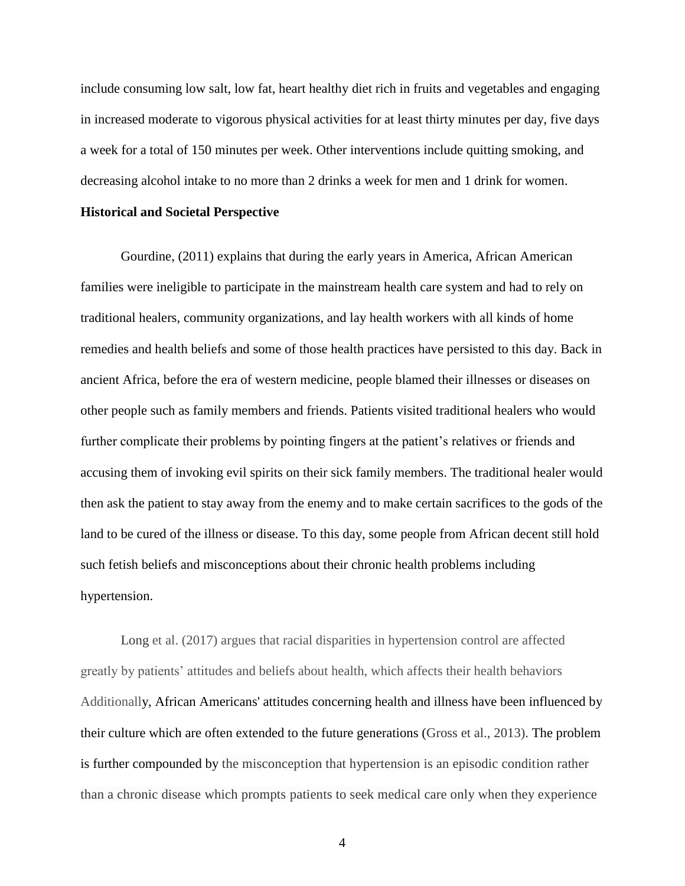include consuming low salt, low fat, heart healthy diet rich in fruits and vegetables and engaging in increased moderate to vigorous physical activities for at least thirty minutes per day, five days a week for a total of 150 minutes per week. Other interventions include quitting smoking, and decreasing alcohol intake to no more than 2 drinks a week for men and 1 drink for women.

#### **Historical and Societal Perspective**

Gourdine, (2011) explains that during the early years in America, African American families were ineligible to participate in the mainstream health care system and had to rely on traditional healers, community organizations, and lay health workers with all kinds of home remedies and health beliefs and some of those health practices have persisted to this day. Back in ancient Africa, before the era of western medicine, people blamed their illnesses or diseases on other people such as family members and friends. Patients visited traditional healers who would further complicate their problems by pointing fingers at the patient's relatives or friends and accusing them of invoking evil spirits on their sick family members. The traditional healer would then ask the patient to stay away from the enemy and to make certain sacrifices to the gods of the land to be cured of the illness or disease. To this day, some people from African decent still hold such fetish beliefs and misconceptions about their chronic health problems including hypertension.

Long et al. (2017) argues that racial disparities in hypertension control are affected greatly by patients' attitudes and beliefs about health, which affects their health behaviors Additionally, African Americans' attitudes concerning health and illness have been influenced by their culture which are often extended to the future generations (Gross et al., 2013). The problem is further compounded by the misconception that hypertension is an episodic condition rather than a chronic disease which prompts patients to seek medical care only when they experience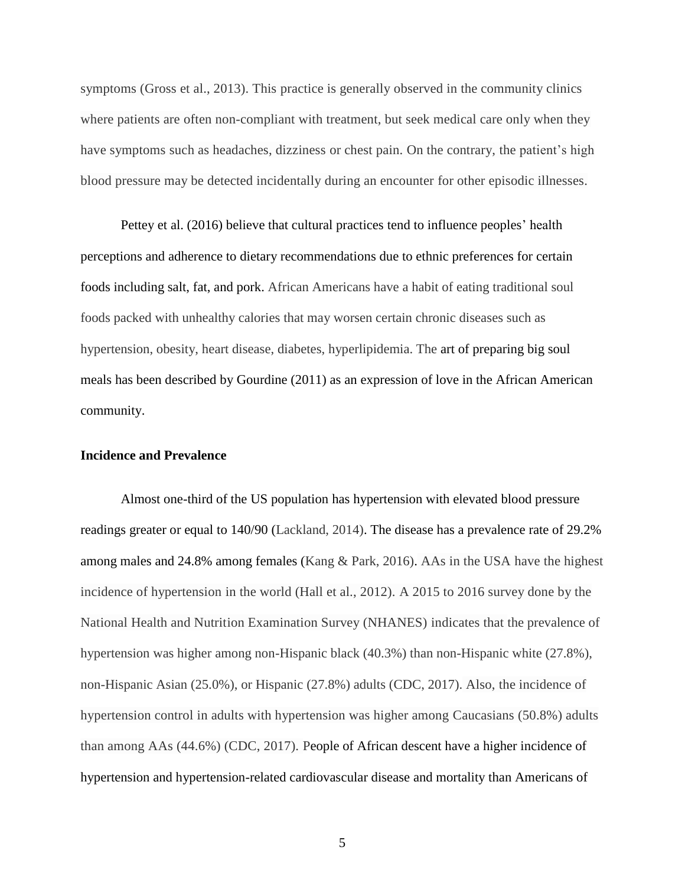symptoms (Gross et al., 2013). This practice is generally observed in the community clinics where patients are often non-compliant with treatment, but seek medical care only when they have symptoms such as headaches, dizziness or chest pain. On the contrary, the patient's high blood pressure may be detected incidentally during an encounter for other episodic illnesses.

Pettey et al. (2016) believe that cultural practices tend to influence peoples' health perceptions and adherence to dietary recommendations due to ethnic preferences for certain foods including salt, fat, and pork. African Americans have a habit of eating traditional soul foods packed with unhealthy calories that may worsen certain chronic diseases such as hypertension, obesity, heart disease, diabetes, hyperlipidemia. The art of preparing big soul meals has been described by Gourdine (2011) as an expression of love in the African American community.

## **Incidence and Prevalence**

Almost one-third of the US population has hypertension with elevated blood pressure readings greater or equal to 140/90 (Lackland, 2014). The disease has a prevalence rate of 29.2% among males and 24.8% among females (Kang & Park, 2016). AAs in the USA have the highest incidence of hypertension in the world (Hall et al., 2012). A 2015 to 2016 survey done by the National Health and Nutrition Examination Survey (NHANES) indicates that the prevalence of hypertension was higher among non-Hispanic black (40.3%) than non-Hispanic white (27.8%), non-Hispanic Asian (25.0%), or Hispanic (27.8%) adults (CDC, 2017). Also, the incidence of hypertension control in adults with hypertension was higher among Caucasians (50.8%) adults than among AAs (44.6%) (CDC, 2017). People of African descent have a higher incidence of hypertension and hypertension-related cardiovascular disease and mortality than Americans of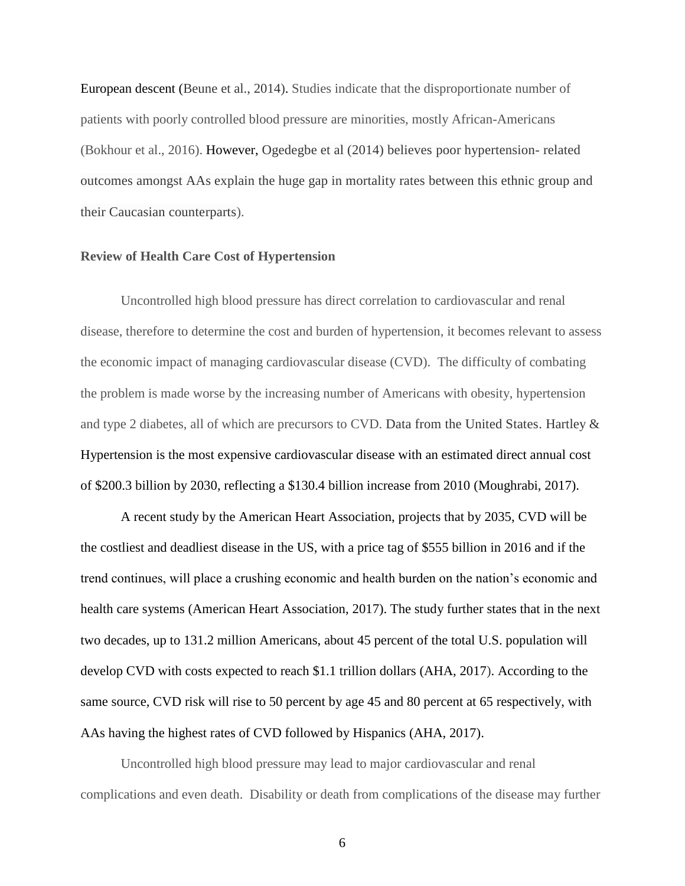European descent (Beune et al., 2014). Studies indicate that the disproportionate number of patients with poorly controlled blood pressure are minorities, mostly African-Americans (Bokhour et al., 2016). However, Ogedegbe et al (2014) believes poor hypertension- related outcomes amongst AAs explain the huge gap in mortality rates between this ethnic group and their Caucasian counterparts).

#### **Review of Health Care Cost of Hypertension**

Uncontrolled high blood pressure has direct correlation to cardiovascular and renal disease, therefore to determine the cost and burden of hypertension, it becomes relevant to assess the economic impact of managing cardiovascular disease (CVD). The difficulty of combating the problem is made worse by the increasing number of Americans with obesity, hypertension and type 2 diabetes, all of which are precursors to CVD. Data from the United States. Hartley & Hypertension is the most expensive cardiovascular disease with an estimated direct annual cost of \$200.3 billion by 2030, reflecting a \$130.4 billion increase from 2010 (Moughrabi, 2017).

A recent study by the American Heart Association, projects that by 2035, CVD will be the costliest and deadliest disease in the US, with a price tag of \$555 billion in 2016 and if the trend continues, will place a crushing economic and health burden on the nation's economic and health care systems (American Heart Association, 2017). The study further states that in the next two decades, up to 131.2 million Americans, about 45 percent of the total U.S. population will develop CVD with costs expected to reach \$1.1 trillion dollars (AHA, 2017). According to the same source, CVD risk will rise to 50 percent by age 45 and 80 percent at 65 respectively, with AAs having the highest rates of CVD followed by Hispanics (AHA, 2017).

Uncontrolled high blood pressure may lead to major cardiovascular and renal complications and even death. Disability or death from complications of the disease may further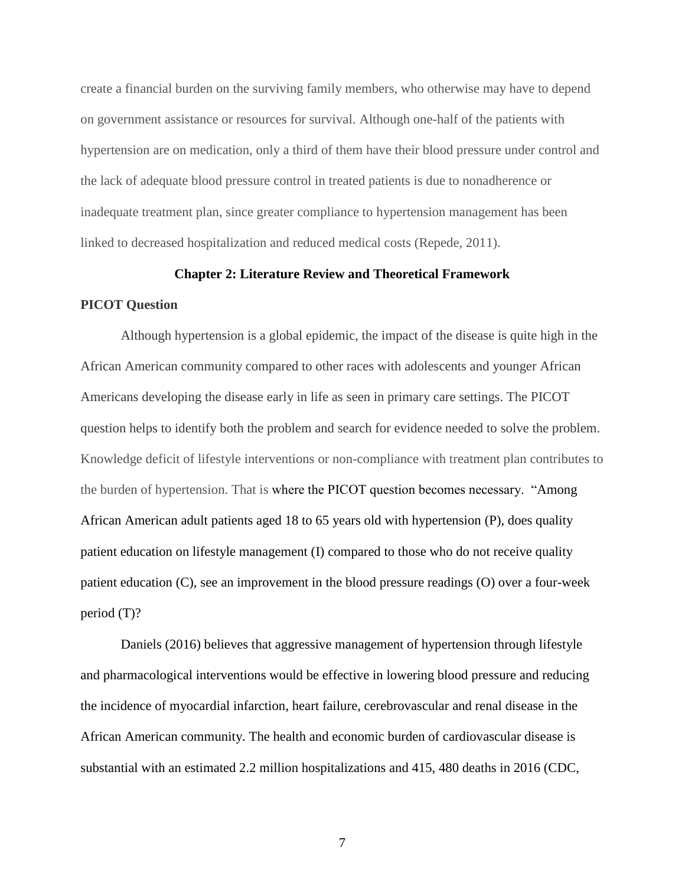create a financial burden on the surviving family members, who otherwise may have to depend on government assistance or resources for survival. Although one-half of the patients with hypertension are on medication, only a third of them have their blood pressure under control and the lack of adequate blood pressure control in treated patients is due to nonadherence or inadequate treatment plan, since greater compliance to hypertension management has been linked to decreased hospitalization and reduced medical costs (Repede, 2011).

#### **Chapter 2: Literature Review and Theoretical Framework**

#### **PICOT Question**

Although hypertension is a global epidemic, the impact of the disease is quite high in the African American community compared to other races with adolescents and younger African Americans developing the disease early in life as seen in primary care settings. The PICOT question helps to identify both the problem and search for evidence needed to solve the problem. Knowledge deficit of lifestyle interventions or non-compliance with treatment plan contributes to the burden of hypertension. That is where the PICOT question becomes necessary. "Among African American adult patients aged 18 to 65 years old with hypertension (P), does quality patient education on lifestyle management (I) compared to those who do not receive quality patient education (C), see an improvement in the blood pressure readings (O) over a four-week period (T)?

Daniels (2016) believes that aggressive management of hypertension through lifestyle and pharmacological interventions would be effective in lowering blood pressure and reducing the incidence of myocardial infarction, heart failure, cerebrovascular and renal disease in the African American community. The health and economic burden of cardiovascular disease is substantial with an estimated 2.2 million hospitalizations and 415, 480 deaths in 2016 (CDC,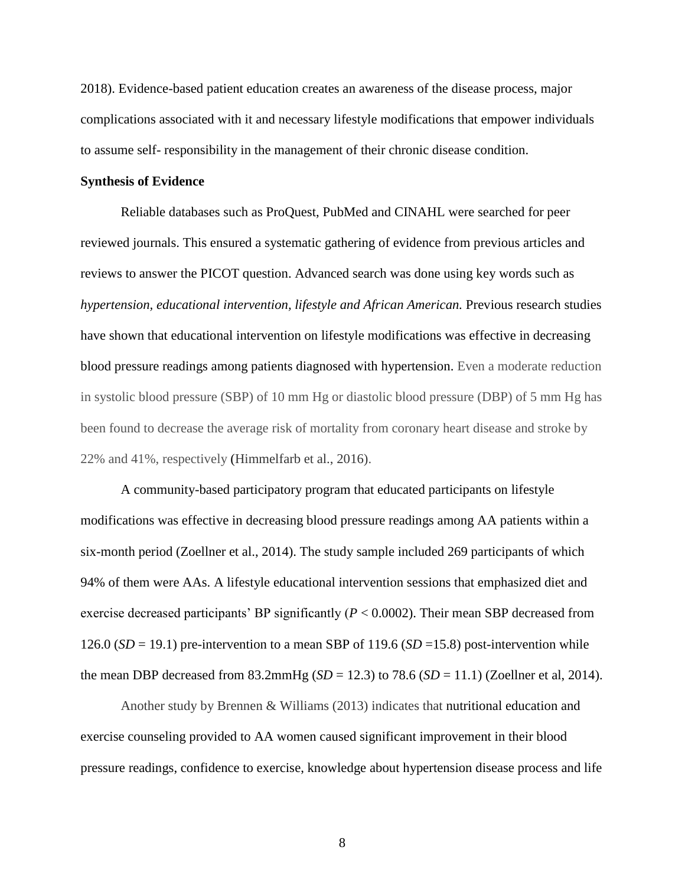2018). Evidence-based patient education creates an awareness of the disease process, major complications associated with it and necessary lifestyle modifications that empower individuals to assume self- responsibility in the management of their chronic disease condition.

#### **Synthesis of Evidence**

Reliable databases such as ProQuest, PubMed and CINAHL were searched for peer reviewed journals. This ensured a systematic gathering of evidence from previous articles and reviews to answer the PICOT question. Advanced search was done using key words such as *hypertension, educational intervention, lifestyle and African American.* Previous research studies have shown that educational intervention on lifestyle modifications was effective in decreasing blood pressure readings among patients diagnosed with hypertension. Even a moderate reduction in systolic blood pressure (SBP) of 10 mm Hg or diastolic blood pressure (DBP) of 5 mm Hg has been found to decrease the average risk of mortality from coronary heart disease and stroke by 22% and 41%, respectively (Himmelfarb et al., 2016).

A community-based participatory program that educated participants on lifestyle modifications was effective in decreasing blood pressure readings among AA patients within a six-month period (Zoellner et al., 2014). The study sample included 269 participants of which 94% of them were AAs. A lifestyle educational intervention sessions that emphasized diet and exercise decreased participants' BP significantly (*P* < 0.0002). Their mean SBP decreased from 126.0 (*SD* = 19.1) pre-intervention to a mean SBP of 119.6 (*SD* =15.8) post-intervention while the mean DBP decreased from  $83.2 \text{mmHg}$  (*SD* = 12.3) to 78.6 (*SD* = 11.1) (Zoellner et al, 2014).

Another study by Brennen & Williams (2013) indicates that nutritional education and exercise counseling provided to AA women caused significant improvement in their blood pressure readings, confidence to exercise, knowledge about hypertension disease process and life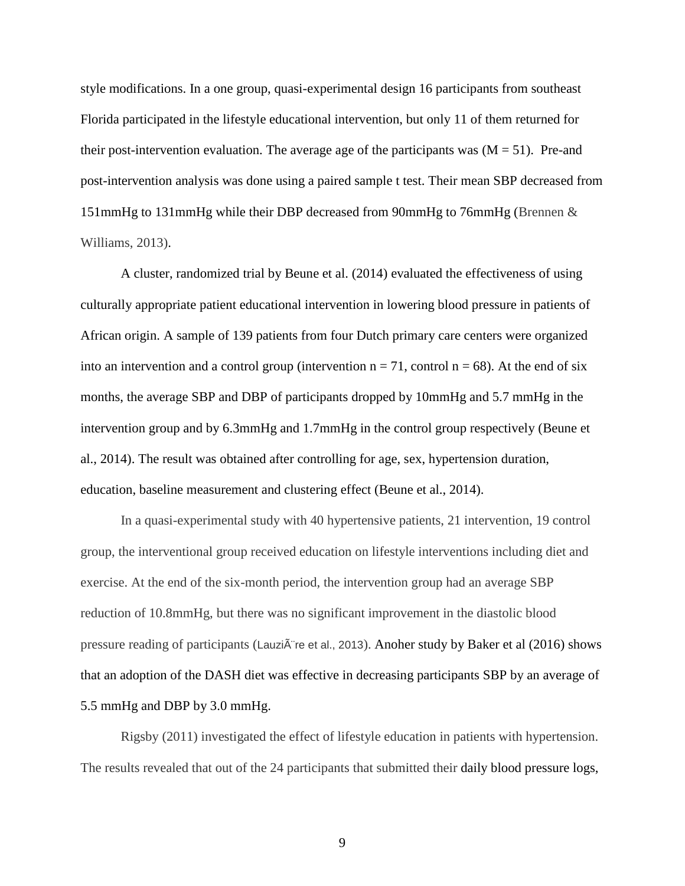style modifications. In a one group, quasi-experimental design 16 participants from southeast Florida participated in the lifestyle educational intervention, but only 11 of them returned for their post-intervention evaluation. The average age of the participants was  $(M = 51)$ . Pre-and post-intervention analysis was done using a paired sample t test. Their mean SBP decreased from 151mmHg to 131mmHg while their DBP decreased from 90mmHg to 76mmHg (Brennen & Williams, 2013).

A cluster, randomized trial by Beune et al. (2014) evaluated the effectiveness of using culturally appropriate patient educational intervention in lowering blood pressure in patients of African origin. A sample of 139 patients from four Dutch primary care centers were organized into an intervention and a control group (intervention  $n = 71$ , control  $n = 68$ ). At the end of six months, the average SBP and DBP of participants dropped by 10mmHg and 5.7 mmHg in the intervention group and by 6.3mmHg and 1.7mmHg in the control group respectively (Beune et al., 2014). The result was obtained after controlling for age, sex, hypertension duration, education, baseline measurement and clustering effect (Beune et al., 2014).

In a quasi-experimental study with 40 hypertensive patients, 21 intervention, 19 control group, the interventional group received education on lifestyle interventions including diet and exercise. At the end of the six-month period, the intervention group had an average SBP reduction of 10.8mmHg, but there was no significant improvement in the diastolic blood pressure reading of participants (Lauzi $\tilde{A}$  re et al., 2013). Anoher study by Baker et al (2016) shows that an adoption of the DASH diet was effective in decreasing participants SBP by an average of 5.5 mmHg and DBP by 3.0 mmHg.

Rigsby (2011) investigated the effect of lifestyle education in patients with hypertension. The results revealed that out of the 24 participants that submitted their daily blood pressure logs,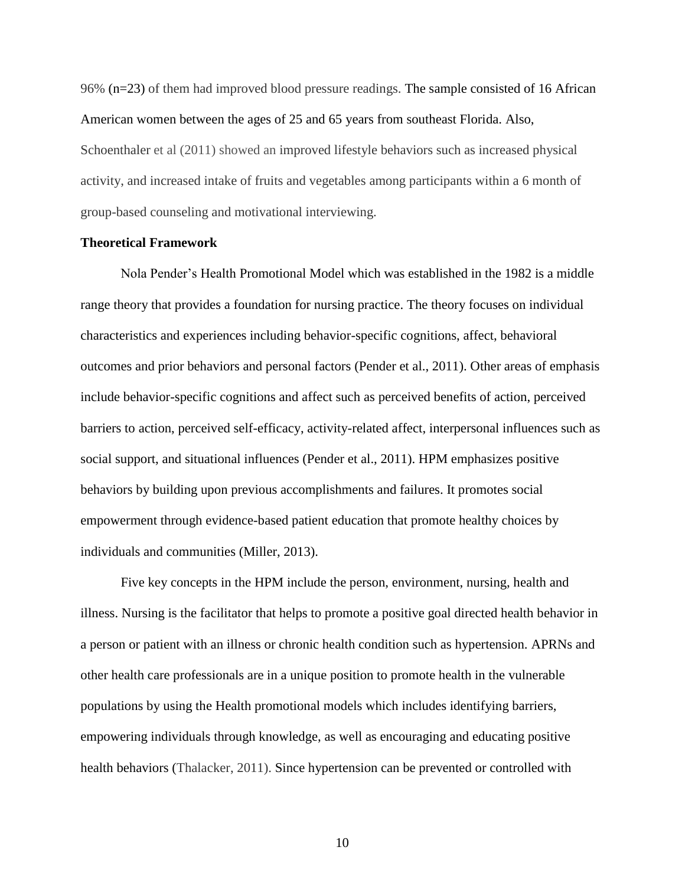96% (n=23) of them had improved blood pressure readings. The sample consisted of 16 African American women between the ages of 25 and 65 years from southeast Florida. Also, Schoenthaler et al (2011) showed an improved lifestyle behaviors such as increased physical activity, and increased intake of fruits and vegetables among participants within a 6 month of group-based counseling and motivational interviewing.

#### **Theoretical Framework**

Nola Pender's Health Promotional Model which was established in the 1982 is a middle range theory that provides a foundation for nursing practice. The theory focuses on individual characteristics and experiences including behavior-specific cognitions, affect, behavioral outcomes and prior behaviors and personal factors (Pender et al., 2011). Other areas of emphasis include behavior-specific cognitions and affect such as perceived benefits of action, perceived barriers to action, perceived self-efficacy, activity-related affect, interpersonal influences such as social support, and situational influences (Pender et al., 2011). HPM emphasizes positive behaviors by building upon previous accomplishments and failures. It promotes social empowerment through evidence-based patient education that promote healthy choices by individuals and communities (Miller, 2013).

Five key concepts in the HPM include the person, environment, nursing, health and illness. Nursing is the facilitator that helps to promote a positive goal directed health behavior in a person or patient with an illness or chronic health condition such as hypertension. APRNs and other health care professionals are in a unique position to promote health in the vulnerable populations by using the Health promotional models which includes identifying barriers, empowering individuals through knowledge, as well as encouraging and educating positive health behaviors (Thalacker, 2011). Since hypertension can be prevented or controlled with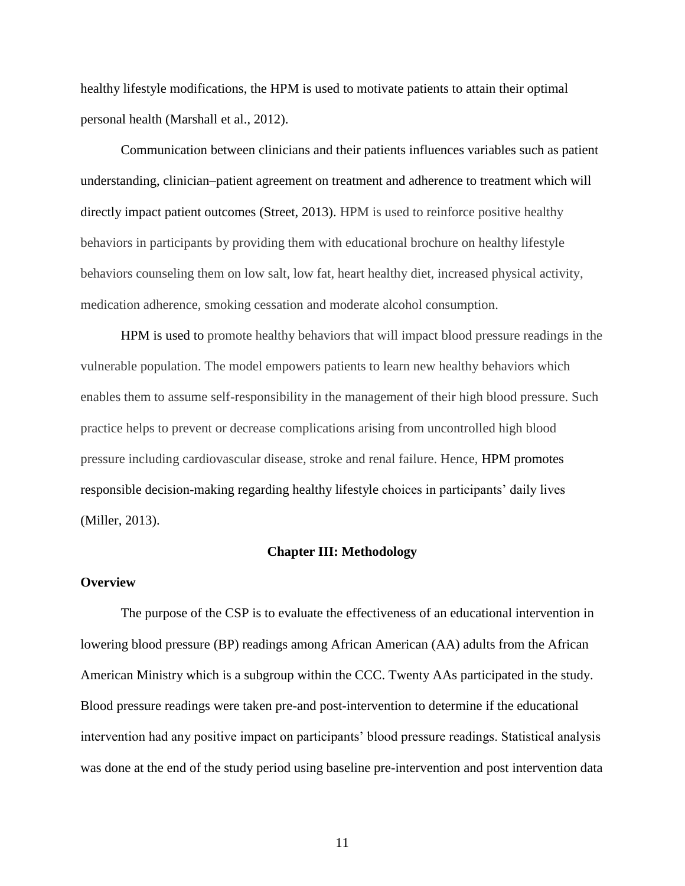healthy lifestyle modifications, the HPM is used to motivate patients to attain their optimal personal health (Marshall et al., 2012).

Communication between clinicians and their patients influences variables such as patient understanding, clinician–patient agreement on treatment and adherence to treatment which will directly impact patient outcomes (Street, 2013). HPM is used to reinforce positive healthy behaviors in participants by providing them with educational brochure on healthy lifestyle behaviors counseling them on low salt, low fat, heart healthy diet, increased physical activity, medication adherence, smoking cessation and moderate alcohol consumption.

HPM is used to promote healthy behaviors that will impact blood pressure readings in the vulnerable population. The model empowers patients to learn new healthy behaviors which enables them to assume self-responsibility in the management of their high blood pressure. Such practice helps to prevent or decrease complications arising from uncontrolled high blood pressure including cardiovascular disease, stroke and renal failure. Hence, HPM promotes responsible decision-making regarding healthy lifestyle choices in participants' daily lives (Miller, 2013).

#### **Chapter III: Methodology**

#### **Overview**

The purpose of the CSP is to evaluate the effectiveness of an educational intervention in lowering blood pressure (BP) readings among African American (AA) adults from the African American Ministry which is a subgroup within the CCC. Twenty AAs participated in the study. Blood pressure readings were taken pre-and post-intervention to determine if the educational intervention had any positive impact on participants' blood pressure readings. Statistical analysis was done at the end of the study period using baseline pre-intervention and post intervention data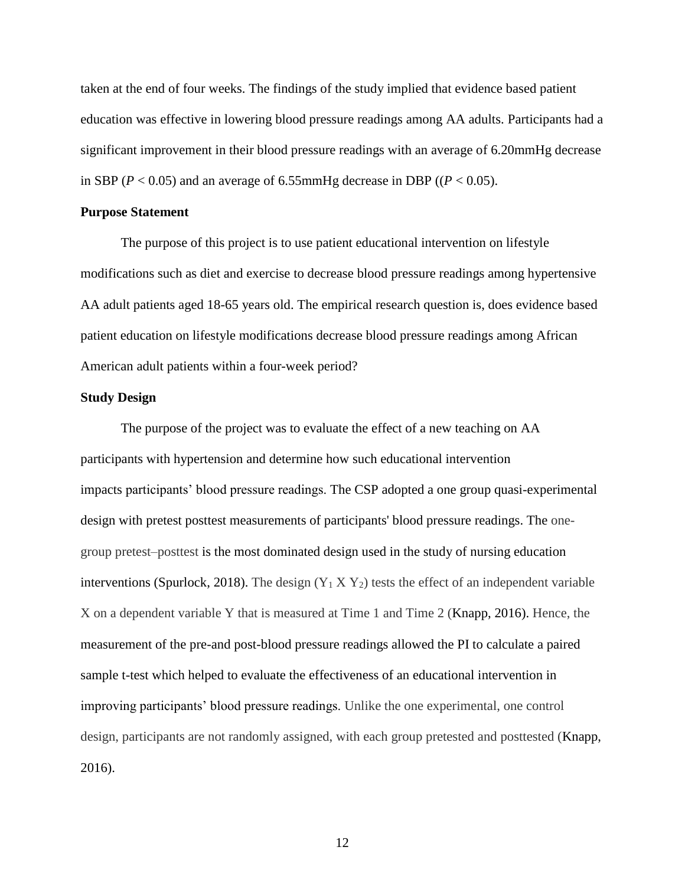taken at the end of four weeks. The findings of the study implied that evidence based patient education was effective in lowering blood pressure readings among AA adults. Participants had a significant improvement in their blood pressure readings with an average of 6.20mmHg decrease in SBP ( $P < 0.05$ ) and an average of 6.55mmHg decrease in DBP ( $(P < 0.05)$ ).

#### **Purpose Statement**

The purpose of this project is to use patient educational intervention on lifestyle modifications such as diet and exercise to decrease blood pressure readings among hypertensive AA adult patients aged 18-65 years old. The empirical research question is, does evidence based patient education on lifestyle modifications decrease blood pressure readings among African American adult patients within a four-week period?

### **Study Design**

The purpose of the project was to evaluate the effect of a new teaching on AA participants with hypertension and determine how such educational intervention impacts participants' blood pressure readings. The CSP adopted a one group quasi-experimental design with pretest posttest measurements of participants' blood pressure readings. The onegroup pretest–posttest is the most dominated design used in the study of nursing education interventions (Spurlock, 2018). The design  $(Y_1 \times Y_2)$  tests the effect of an independent variable X on a dependent variable Y that is measured at Time 1 and Time 2 (Knapp, 2016). Hence, the measurement of the pre-and post-blood pressure readings allowed the PI to calculate a paired sample t-test which helped to evaluate the effectiveness of an educational intervention in improving participants' blood pressure readings. Unlike the one experimental, one control design, participants are not randomly assigned, with each group pretested and posttested (Knapp, 2016).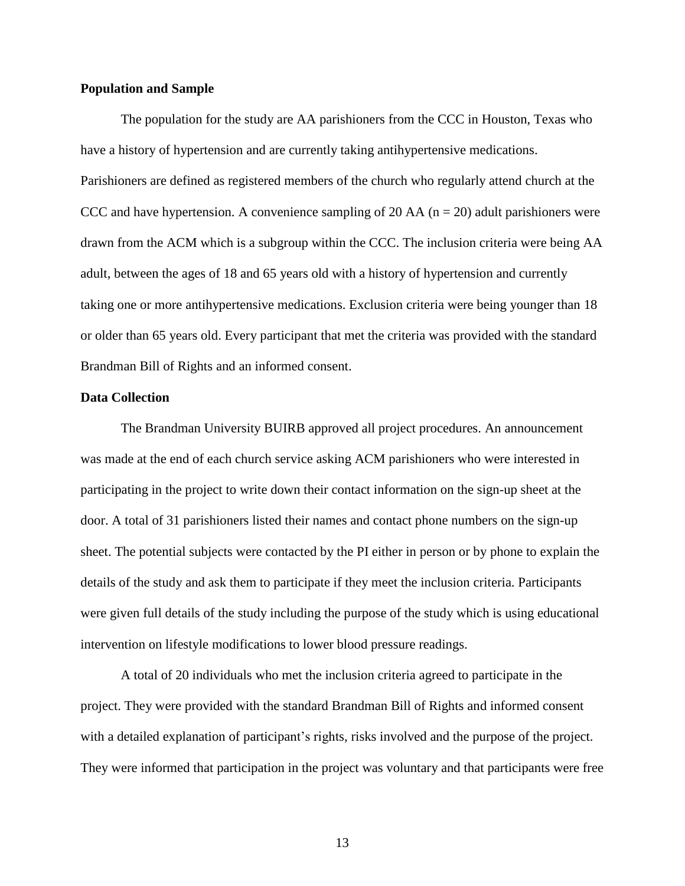#### **Population and Sample**

The population for the study are AA parishioners from the CCC in Houston, Texas who have a history of hypertension and are currently taking antihypertensive medications. Parishioners are defined as registered members of the church who regularly attend church at the CCC and have hypertension. A convenience sampling of 20 AA ( $n = 20$ ) adult parishioners were drawn from the ACM which is a subgroup within the CCC. The inclusion criteria were being AA adult, between the ages of 18 and 65 years old with a history of hypertension and currently taking one or more antihypertensive medications. Exclusion criteria were being younger than 18 or older than 65 years old. Every participant that met the criteria was provided with the standard Brandman Bill of Rights and an informed consent.

#### **Data Collection**

The Brandman University BUIRB approved all project procedures. An announcement was made at the end of each church service asking ACM parishioners who were interested in participating in the project to write down their contact information on the sign-up sheet at the door. A total of 31 parishioners listed their names and contact phone numbers on the sign-up sheet. The potential subjects were contacted by the PI either in person or by phone to explain the details of the study and ask them to participate if they meet the inclusion criteria. Participants were given full details of the study including the purpose of the study which is using educational intervention on lifestyle modifications to lower blood pressure readings.

A total of 20 individuals who met the inclusion criteria agreed to participate in the project. They were provided with the standard Brandman Bill of Rights and informed consent with a detailed explanation of participant's rights, risks involved and the purpose of the project. They were informed that participation in the project was voluntary and that participants were free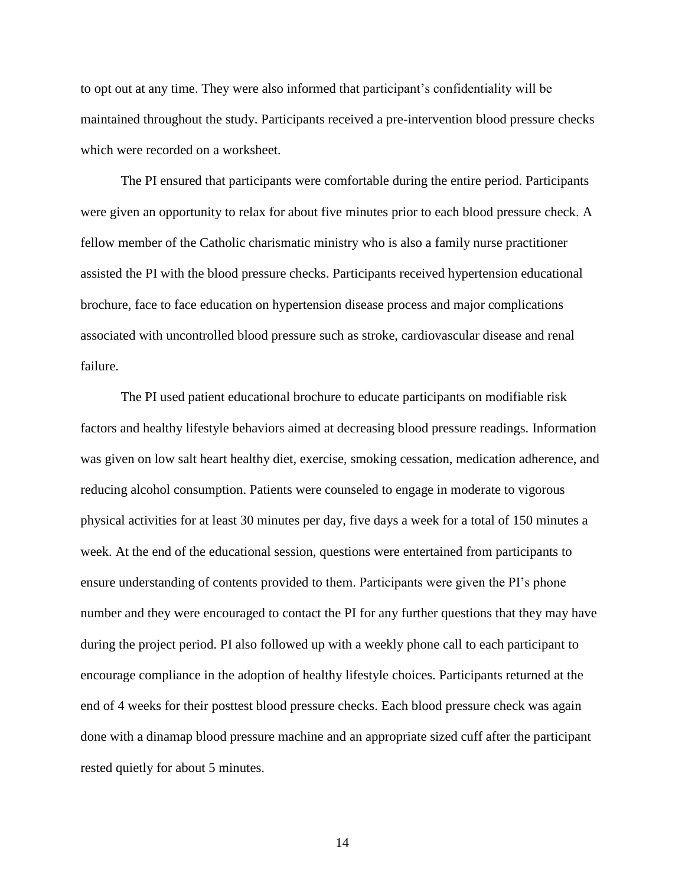to opt out at any time. They were also informed that participant's confidentiality will be maintained throughout the study. Participants received a pre-intervention blood pressure checks which were recorded on a worksheet.

The PI ensured that participants were comfortable during the entire period. Participants were given an opportunity to relax for about five minutes prior to each blood pressure check. A fellow member of the Catholic charismatic ministry who is also a family nurse practitioner assisted the PI with the blood pressure checks. Participants received hypertension educational brochure, face to face education on hypertension disease process and major complications associated with uncontrolled blood pressure such as stroke, cardiovascular disease and renal failure.

The PI used patient educational brochure to educate participants on modifiable risk factors and healthy lifestyle behaviors aimed at decreasing blood pressure readings. Information was given on low salt heart healthy diet, exercise, smoking cessation, medication adherence, and reducing alcohol consumption. Patients were counseled to engage in moderate to vigorous physical activities for at least 30 minutes per day, five days a week for a total of 150 minutes a week. At the end of the educational session, questions were entertained from participants to ensure understanding of contents provided to them. Participants were given the PI's phone number and they were encouraged to contact the PI for any further questions that they may have during the project period. PI also followed up with a weekly phone call to each participant to encourage compliance in the adoption of healthy lifestyle choices. Participants returned at the end of 4 weeks for their posttest blood pressure checks. Each blood pressure check was again done with a dinamap blood pressure machine and an appropriate sized cuff after the participant rested quietly for about 5 minutes.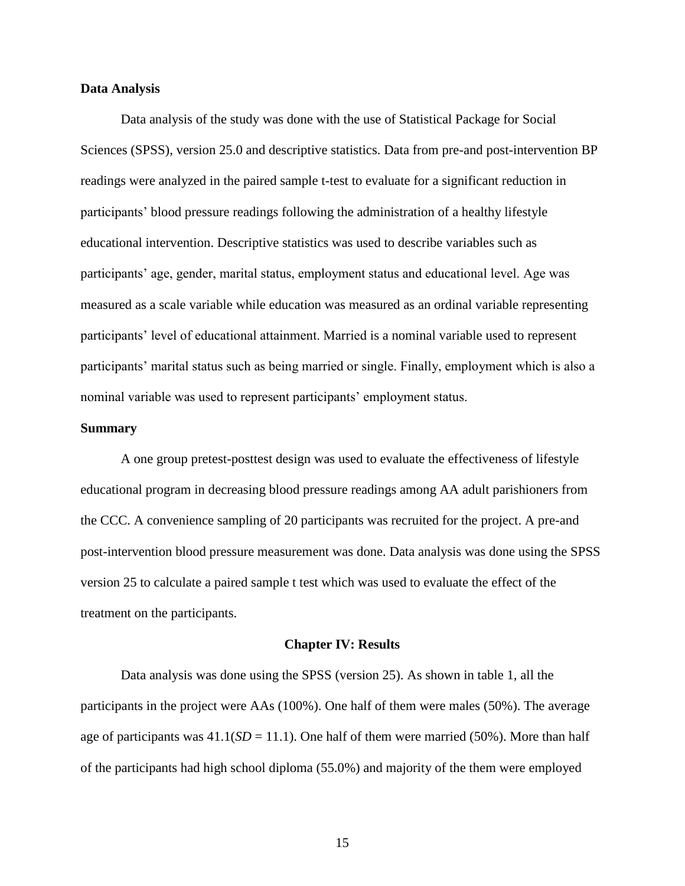#### **Data Analysis**

Data analysis of the study was done with the use of Statistical Package for Social Sciences (SPSS), version 25.0 and descriptive statistics. Data from pre-and post-intervention BP readings were analyzed in the paired sample t-test to evaluate for a significant reduction in participants' blood pressure readings following the administration of a healthy lifestyle educational intervention. Descriptive statistics was used to describe variables such as participants' age, gender, marital status, employment status and educational level. Age was measured as a scale variable while education was measured as an ordinal variable representing participants' level of educational attainment. Married is a nominal variable used to represent participants' marital status such as being married or single. Finally, employment which is also a nominal variable was used to represent participants' employment status.

#### **Summary**

A one group pretest-posttest design was used to evaluate the effectiveness of lifestyle educational program in decreasing blood pressure readings among AA adult parishioners from the CCC. A convenience sampling of 20 participants was recruited for the project. A pre-and post-intervention blood pressure measurement was done. Data analysis was done using the SPSS version 25 to calculate a paired sample t test which was used to evaluate the effect of the treatment on the participants.

#### **Chapter IV: Results**

Data analysis was done using the SPSS (version 25). As shown in table 1, all the participants in the project were AAs (100%). One half of them were males (50%). The average age of participants was  $41.1(SD = 11.1)$ . One half of them were married (50%). More than half of the participants had high school diploma (55.0%) and majority of the them were employed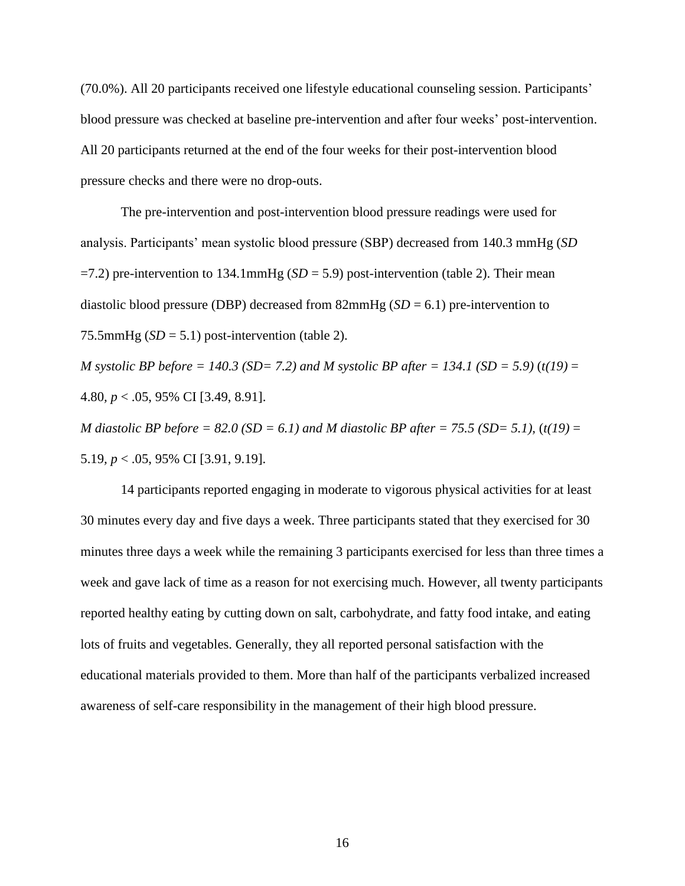(70.0%). All 20 participants received one lifestyle educational counseling session. Participants' blood pressure was checked at baseline pre-intervention and after four weeks' post-intervention. All 20 participants returned at the end of the four weeks for their post-intervention blood pressure checks and there were no drop-outs.

The pre-intervention and post-intervention blood pressure readings were used for analysis. Participants' mean systolic blood pressure (SBP) decreased from 140.3 mmHg (*SD*  $=7.2$ ) pre-intervention to 134.1mmHg (*SD* = 5.9) post-intervention (table 2). Their mean diastolic blood pressure (DBP) decreased from 82mmHg (*SD* = 6.1) pre-intervention to 75.5mmHg  $(SD = 5.1)$  post-intervention (table 2).

*M* systolic BP before = 140.3 (SD= 7.2) and M systolic BP after = 134.1 (SD = 5.9) (t(19) = 4.80*, p* < .05, 95% CI [3.49, 8.91].

*M* diastolic BP before = 82.0 (SD = 6.1) and *M* diastolic BP after = 75.5 (SD= 5.1), (t(19) = 5.19*, p* < .05, 95% CI [3.91, 9.19].

14 participants reported engaging in moderate to vigorous physical activities for at least 30 minutes every day and five days a week. Three participants stated that they exercised for 30 minutes three days a week while the remaining 3 participants exercised for less than three times a week and gave lack of time as a reason for not exercising much. However, all twenty participants reported healthy eating by cutting down on salt, carbohydrate, and fatty food intake, and eating lots of fruits and vegetables. Generally, they all reported personal satisfaction with the educational materials provided to them. More than half of the participants verbalized increased awareness of self-care responsibility in the management of their high blood pressure.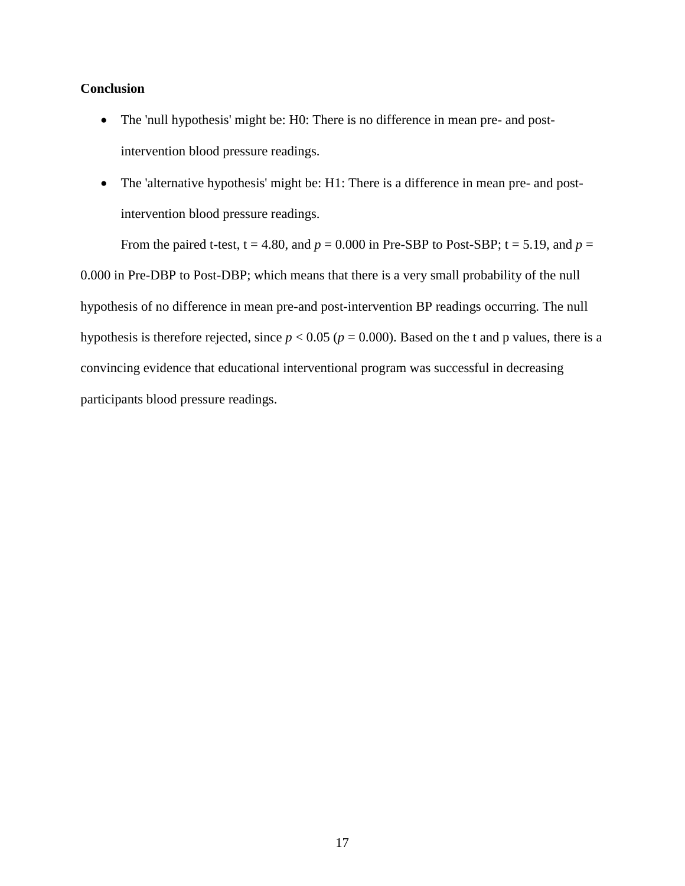## **Conclusion**

- The 'null hypothesis' might be: H0: There is no difference in mean pre- and postintervention blood pressure readings.
- The 'alternative hypothesis' might be: H1: There is a difference in mean pre- and postintervention blood pressure readings.

From the paired t-test,  $t = 4.80$ , and  $p = 0.000$  in Pre-SBP to Post-SBP;  $t = 5.19$ , and  $p =$ 

0.000 in Pre-DBP to Post-DBP; which means that there is a very small probability of the null hypothesis of no difference in mean pre-and post-intervention BP readings occurring. The null hypothesis is therefore rejected, since  $p < 0.05$  ( $p = 0.000$ ). Based on the t and p values, there is a convincing evidence that educational interventional program was successful in decreasing participants blood pressure readings.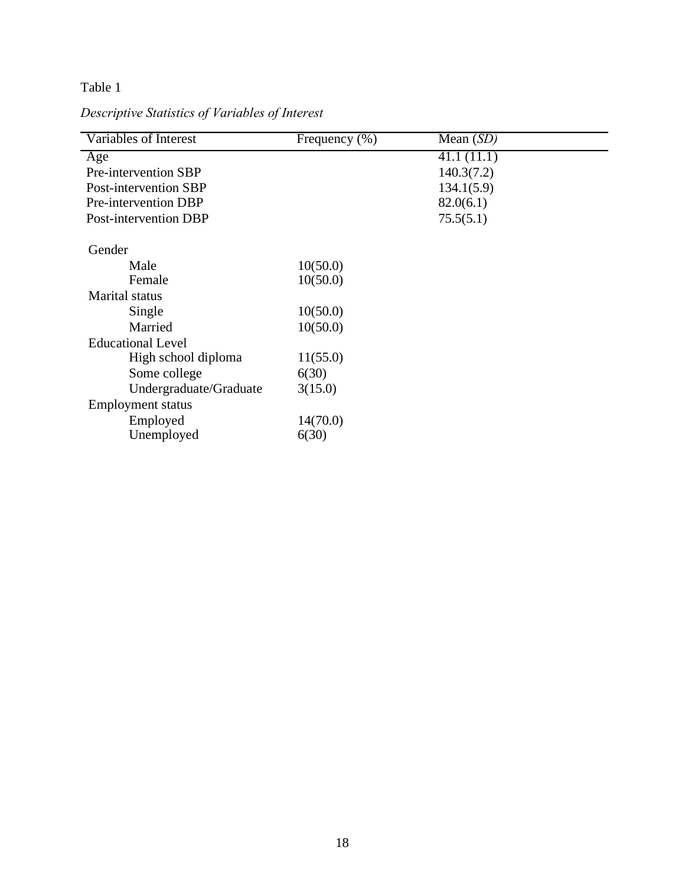## Table 1

*Descriptive Statistics of Variables of Interest*

| Variables of Interest    | Frequency (%) | Mean $(SD)$ |
|--------------------------|---------------|-------------|
| Age                      |               | 41.1(11.1)  |
| Pre-intervention SBP     |               | 140.3(7.2)  |
| Post-intervention SBP    |               | 134.1(5.9)  |
| Pre-intervention DBP     |               | 82.0(6.1)   |
| Post-intervention DBP    |               | 75.5(5.1)   |
|                          |               |             |
| Gender                   |               |             |
| Male                     | 10(50.0)      |             |
| Female                   | 10(50.0)      |             |
| <b>Marital</b> status    |               |             |
| Single                   | 10(50.0)      |             |
| Married                  | 10(50.0)      |             |
| <b>Educational Level</b> |               |             |
| High school diploma      | 11(55.0)      |             |
| Some college             | 6(30)         |             |
| Undergraduate/Graduate   | 3(15.0)       |             |
| <b>Employment</b> status |               |             |
| Employed                 | 14(70.0)      |             |
| Unemployed               | 6(30)         |             |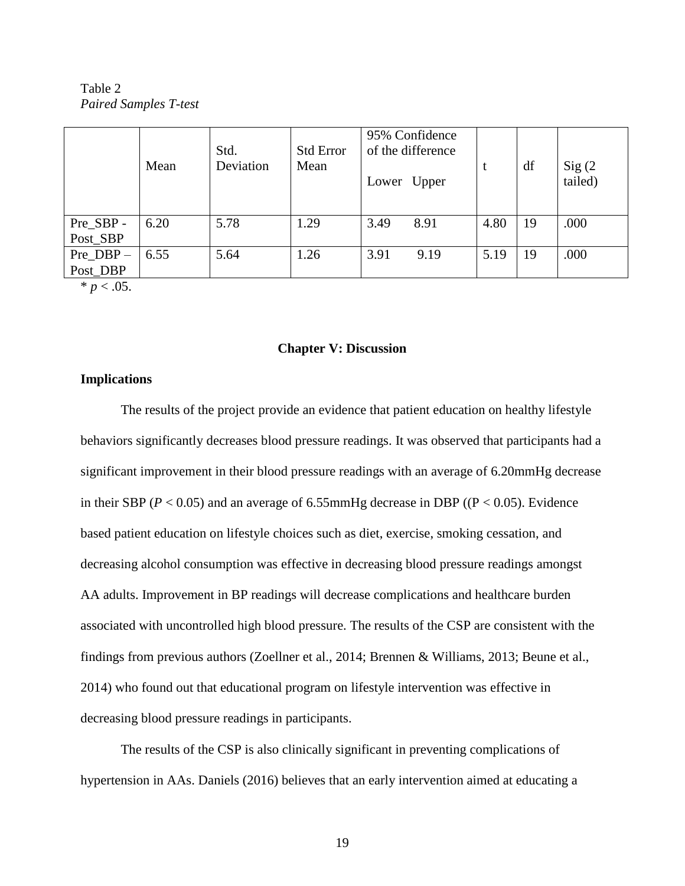Table 2 *Paired Samples T-test*

|                         | Mean | Std.<br>Deviation | <b>Std Error</b><br>Mean | 95% Confidence<br>of the difference<br>Lower Upper | t    | df | Sig(2)<br>tailed) |
|-------------------------|------|-------------------|--------------------------|----------------------------------------------------|------|----|-------------------|
| Pre_SBP -<br>Post_SBP   | 6.20 | 5.78              | 1.29                     | 3.49<br>8.91                                       | 4.80 | 19 | .000              |
| Pre $DBP -$<br>Post_DBP | 6.55 | 5.64              | 1.26                     | 3.91<br>9.19                                       | 5.19 | 19 | .000              |

 $* p < .05$ .

#### **Chapter V: Discussion**

#### **Implications**

The results of the project provide an evidence that patient education on healthy lifestyle behaviors significantly decreases blood pressure readings. It was observed that participants had a significant improvement in their blood pressure readings with an average of 6.20mmHg decrease in their SBP ( $P < 0.05$ ) and an average of 6.55mmHg decrease in DBP (( $P < 0.05$ ). Evidence based patient education on lifestyle choices such as diet, exercise, smoking cessation, and decreasing alcohol consumption was effective in decreasing blood pressure readings amongst AA adults. Improvement in BP readings will decrease complications and healthcare burden associated with uncontrolled high blood pressure. The results of the CSP are consistent with the findings from previous authors (Zoellner et al., 2014; Brennen & Williams, 2013; Beune et al., 2014) who found out that educational program on lifestyle intervention was effective in decreasing blood pressure readings in participants.

The results of the CSP is also clinically significant in preventing complications of hypertension in AAs. Daniels (2016) believes that an early intervention aimed at educating a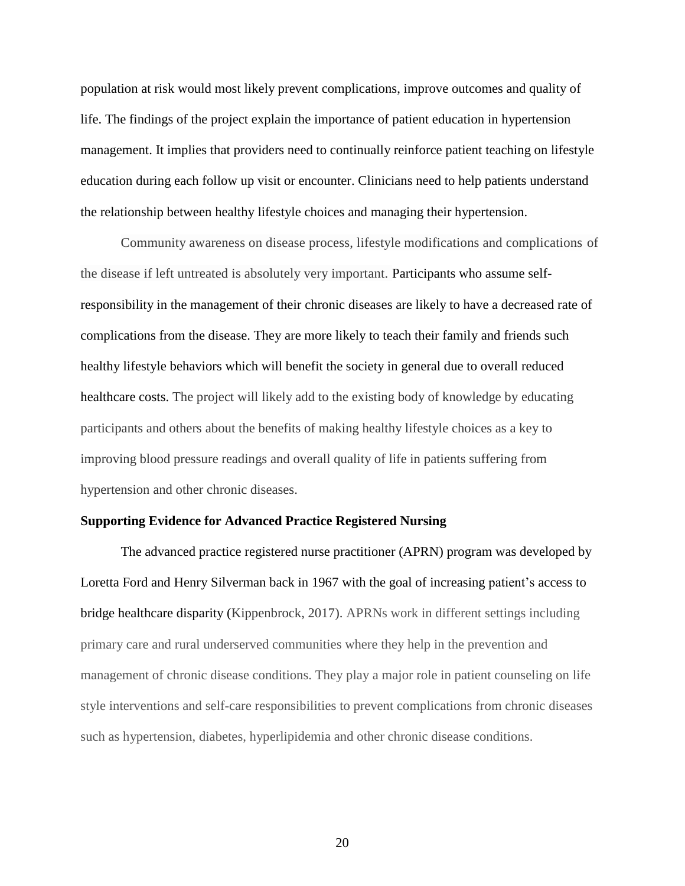population at risk would most likely prevent complications, improve outcomes and quality of life. The findings of the project explain the importance of patient education in hypertension management. It implies that providers need to continually reinforce patient teaching on lifestyle education during each follow up visit or encounter. Clinicians need to help patients understand the relationship between healthy lifestyle choices and managing their hypertension.

Community awareness on disease process, lifestyle modifications and complications of the disease if left untreated is absolutely very important. Participants who assume selfresponsibility in the management of their chronic diseases are likely to have a decreased rate of complications from the disease. They are more likely to teach their family and friends such healthy lifestyle behaviors which will benefit the society in general due to overall reduced healthcare costs. The project will likely add to the existing body of knowledge by educating participants and others about the benefits of making healthy lifestyle choices as a key to improving blood pressure readings and overall quality of life in patients suffering from hypertension and other chronic diseases.

#### **Supporting Evidence for Advanced Practice Registered Nursing**

The advanced practice registered nurse practitioner (APRN) program was developed by Loretta Ford and Henry Silverman back in 1967 with the goal of increasing patient's access to bridge healthcare disparity (Kippenbrock, 2017). APRNs work in different settings including primary care and rural underserved communities where they help in the prevention and management of chronic disease conditions. They play a major role in patient counseling on life style interventions and self-care responsibilities to prevent complications from chronic diseases such as hypertension, diabetes, hyperlipidemia and other chronic disease conditions.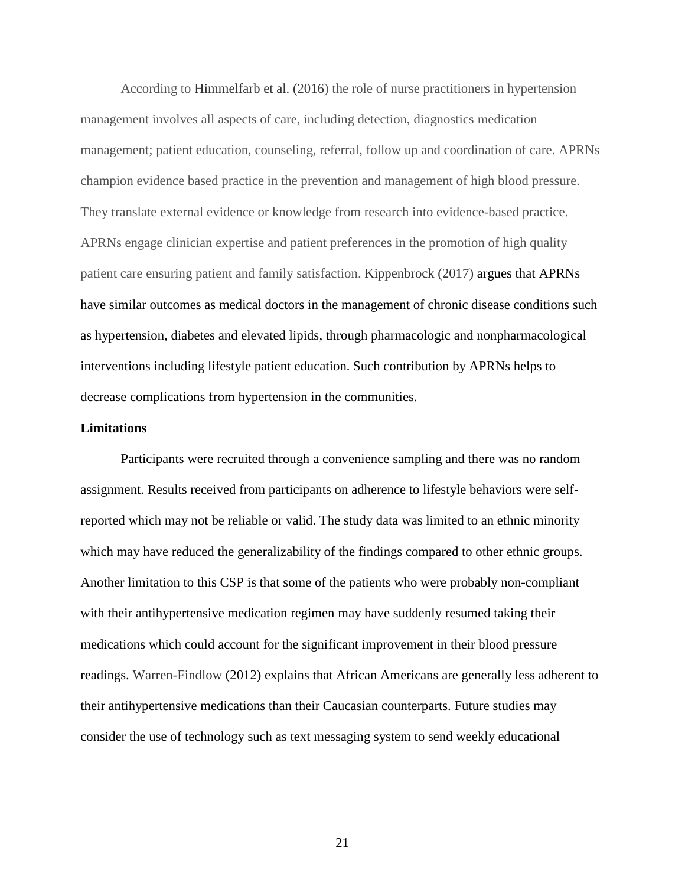According to Himmelfarb et al. (2016) the role of nurse practitioners in hypertension management involves all aspects of care, including detection, diagnostics medication management; patient education, counseling, referral, follow up and coordination of care. APRNs champion evidence based practice in the prevention and management of high blood pressure. They translate external evidence or knowledge from research into evidence-based practice. APRNs engage clinician expertise and patient preferences in the promotion of high quality patient care ensuring patient and family satisfaction. Kippenbrock (2017) argues that APRNs have similar outcomes as medical doctors in the management of chronic disease conditions such as hypertension, diabetes and elevated lipids, through pharmacologic and nonpharmacological interventions including lifestyle patient education. Such contribution by APRNs helps to decrease complications from hypertension in the communities.

#### **Limitations**

Participants were recruited through a convenience sampling and there was no random assignment. Results received from participants on adherence to lifestyle behaviors were selfreported which may not be reliable or valid. The study data was limited to an ethnic minority which may have reduced the generalizability of the findings compared to other ethnic groups. Another limitation to this CSP is that some of the patients who were probably non-compliant with their antihypertensive medication regimen may have suddenly resumed taking their medications which could account for the significant improvement in their blood pressure readings. Warren-Findlow (2012) explains that African Americans are generally less adherent to their antihypertensive medications than their Caucasian counterparts. Future studies may consider the use of technology such as text messaging system to send weekly educational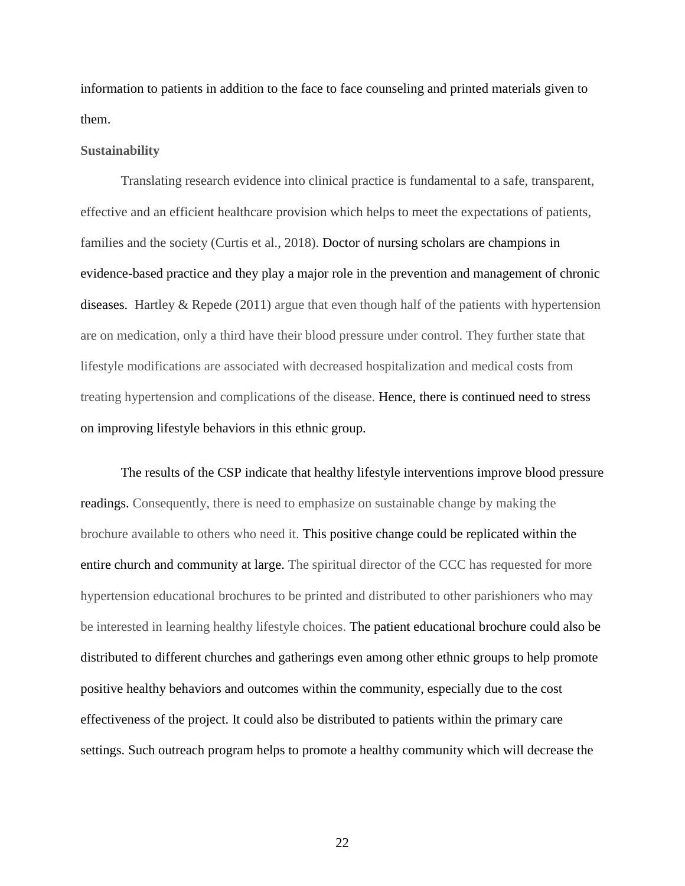information to patients in addition to the face to face counseling and printed materials given to them.

#### **Sustainability**

Translating research evidence into clinical practice is fundamental to a safe, transparent, effective and an efficient healthcare provision which helps to meet the expectations of patients, families and the society (Curtis et al., 2018). Doctor of nursing scholars are champions in evidence-based practice and they play a major role in the prevention and management of chronic diseases. Hartley  $\&$  Repede (2011) argue that even though half of the patients with hypertension are on medication, only a third have their blood pressure under control. They further state that lifestyle modifications are associated with decreased hospitalization and medical costs from treating hypertension and complications of the disease. Hence, there is continued need to stress on improving lifestyle behaviors in this ethnic group.

The results of the CSP indicate that healthy lifestyle interventions improve blood pressure readings. Consequently, there is need to emphasize on sustainable change by making the brochure available to others who need it. This positive change could be replicated within the entire church and community at large. The spiritual director of the CCC has requested for more hypertension educational brochures to be printed and distributed to other parishioners who may be interested in learning healthy lifestyle choices. The patient educational brochure could also be distributed to different churches and gatherings even among other ethnic groups to help promote positive healthy behaviors and outcomes within the community, especially due to the cost effectiveness of the project. It could also be distributed to patients within the primary care settings. Such outreach program helps to promote a healthy community which will decrease the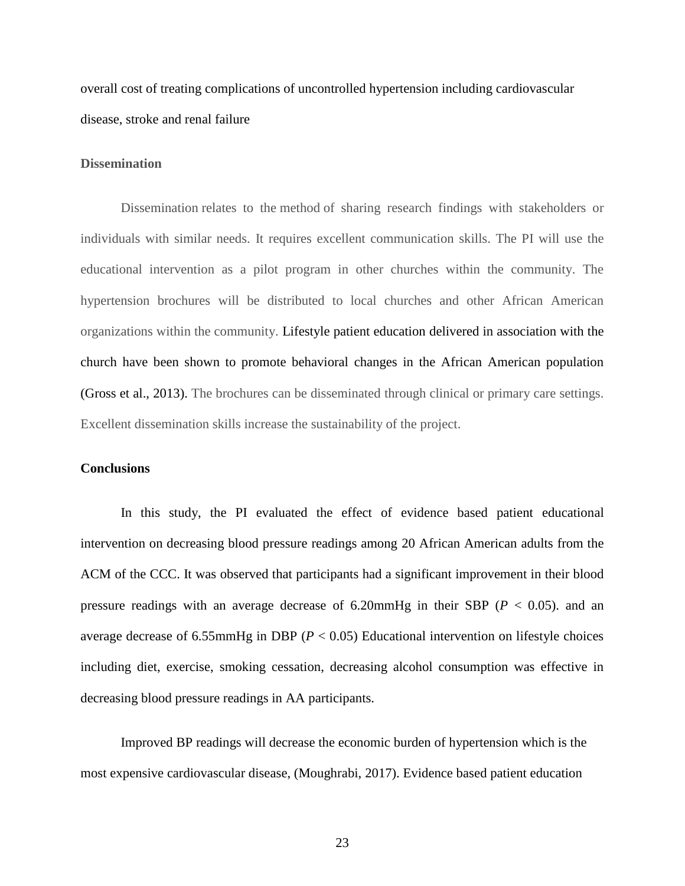overall cost of treating complications of uncontrolled hypertension including cardiovascular disease, stroke and renal failure

#### **Dissemination**

Dissemination relates to the method of sharing research findings with stakeholders or individuals with similar needs. It requires excellent communication skills. The PI will use the educational intervention as a pilot program in other churches within the community. The hypertension brochures will be distributed to local churches and other African American organizations within the community. Lifestyle patient education delivered in association with the church have been shown to promote behavioral changes in the African American population (Gross et al., 2013). The brochures can be disseminated through clinical or primary care settings. Excellent dissemination skills increase the sustainability of the project.

### **Conclusions**

In this study, the PI evaluated the effect of evidence based patient educational intervention on decreasing blood pressure readings among 20 African American adults from the ACM of the CCC. It was observed that participants had a significant improvement in their blood pressure readings with an average decrease of  $6.20$ mmHg in their SBP ( $P < 0.05$ ). and an average decrease of 6.55mmHg in DBP ( $P < 0.05$ ) Educational intervention on lifestyle choices including diet, exercise, smoking cessation, decreasing alcohol consumption was effective in decreasing blood pressure readings in AA participants.

Improved BP readings will decrease the economic burden of hypertension which is the most expensive cardiovascular disease, (Moughrabi, 2017). Evidence based patient education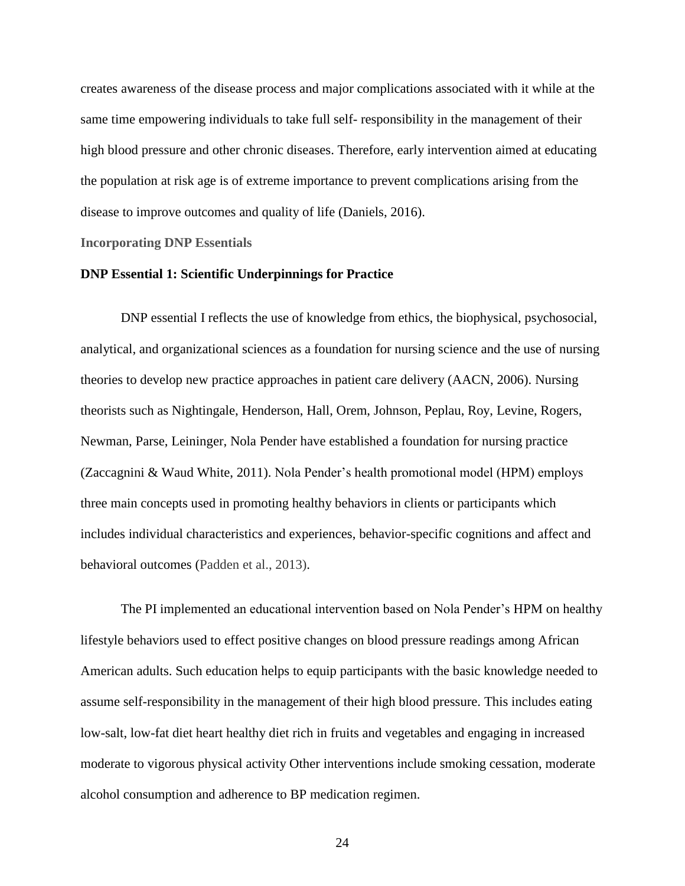creates awareness of the disease process and major complications associated with it while at the same time empowering individuals to take full self- responsibility in the management of their high blood pressure and other chronic diseases. Therefore, early intervention aimed at educating the population at risk age is of extreme importance to prevent complications arising from the disease to improve outcomes and quality of life (Daniels, 2016).

#### **Incorporating DNP Essentials**

#### **DNP Essential 1: Scientific Underpinnings for Practice**

DNP essential I reflects the use of knowledge from ethics, the biophysical, psychosocial, analytical, and organizational sciences as a foundation for nursing science and the use of nursing theories to develop new practice approaches in patient care delivery (AACN, 2006). Nursing theorists such as Nightingale, Henderson, Hall, Orem, Johnson, Peplau, Roy, Levine, Rogers, Newman, Parse, Leininger, Nola Pender have established a foundation for nursing practice (Zaccagnini & Waud White, 2011). Nola Pender's health promotional model (HPM) employs three main concepts used in promoting healthy behaviors in clients or participants which includes individual characteristics and experiences, behavior-specific cognitions and affect and behavioral outcomes (Padden et al., 2013).

The PI implemented an educational intervention based on Nola Pender's HPM on healthy lifestyle behaviors used to effect positive changes on blood pressure readings among African American adults. Such education helps to equip participants with the basic knowledge needed to assume self-responsibility in the management of their high blood pressure. This includes eating low-salt, low-fat diet heart healthy diet rich in fruits and vegetables and engaging in increased moderate to vigorous physical activity Other interventions include smoking cessation, moderate alcohol consumption and adherence to BP medication regimen.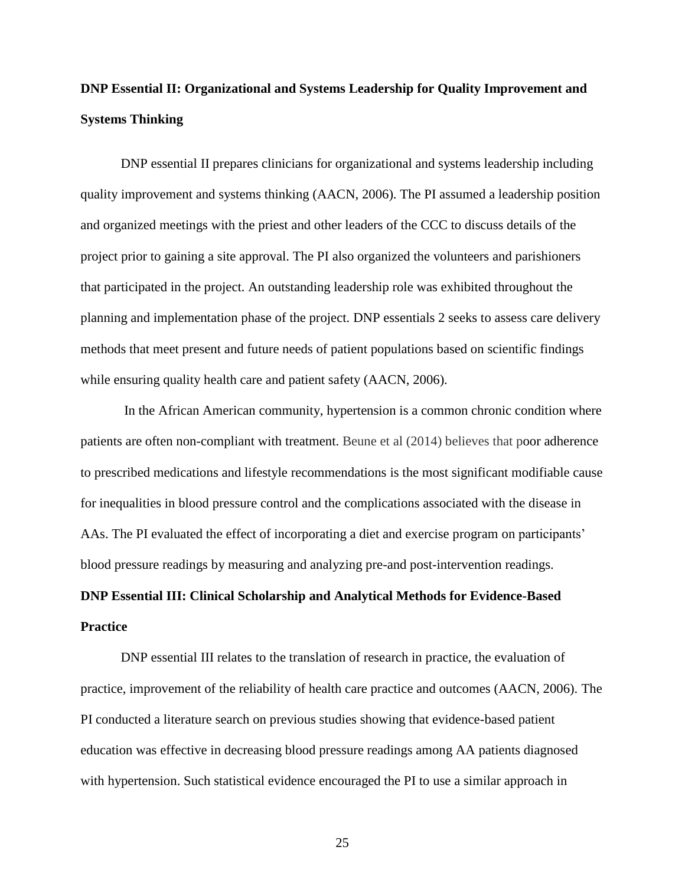## **DNP Essential II: Organizational and Systems Leadership for Quality Improvement and Systems Thinking**

DNP essential II prepares clinicians for organizational and systems leadership including quality improvement and systems thinking (AACN, 2006). The PI assumed a leadership position and organized meetings with the priest and other leaders of the CCC to discuss details of the project prior to gaining a site approval. The PI also organized the volunteers and parishioners that participated in the project. An outstanding leadership role was exhibited throughout the planning and implementation phase of the project. DNP essentials 2 seeks to assess care delivery methods that meet present and future needs of patient populations based on scientific findings while ensuring quality health care and patient safety (AACN, 2006).

In the African American community, hypertension is a common chronic condition where patients are often non-compliant with treatment. Beune et al (2014) believes that poor adherence to prescribed medications and lifestyle recommendations is the most significant modifiable cause for inequalities in blood pressure control and the complications associated with the disease in AAs. The PI evaluated the effect of incorporating a diet and exercise program on participants' blood pressure readings by measuring and analyzing pre-and post-intervention readings.

# **DNP Essential III: Clinical Scholarship and Analytical Methods for Evidence-Based Practice**

DNP essential III relates to the translation of research in practice, the evaluation of practice, improvement of the reliability of health care practice and outcomes (AACN, 2006). The PI conducted a literature search on previous studies showing that evidence-based patient education was effective in decreasing blood pressure readings among AA patients diagnosed with hypertension. Such statistical evidence encouraged the PI to use a similar approach in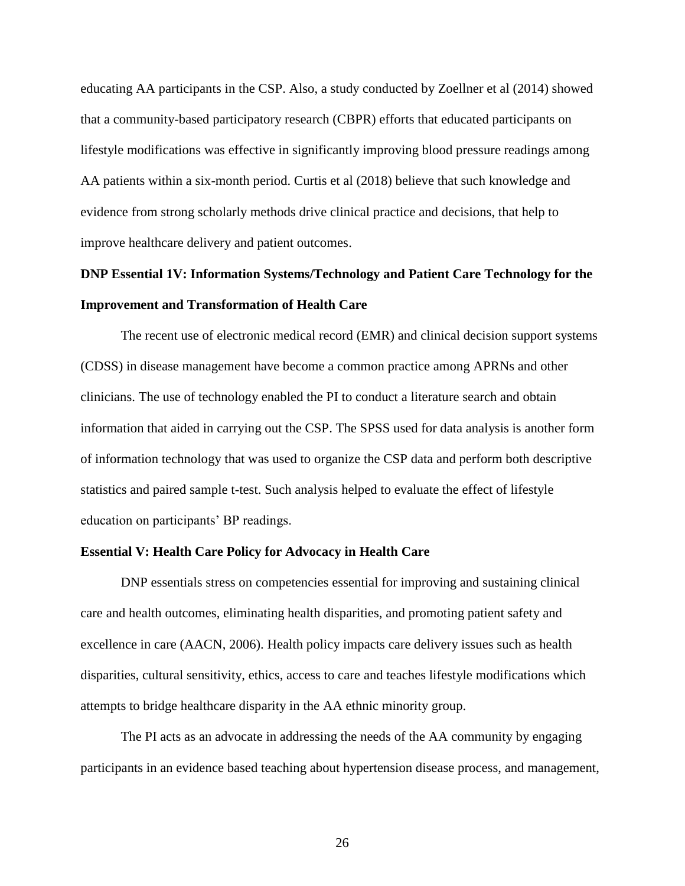educating AA participants in the CSP. Also, a study conducted by Zoellner et al (2014) showed that a community-based participatory research (CBPR) efforts that educated participants on lifestyle modifications was effective in significantly improving blood pressure readings among AA patients within a six-month period. Curtis et al (2018) believe that such knowledge and evidence from strong scholarly methods drive clinical practice and decisions, that help to improve healthcare delivery and patient outcomes.

## **DNP Essential 1V: Information Systems/Technology and Patient Care Technology for the Improvement and Transformation of Health Care**

The recent use of electronic medical record (EMR) and clinical decision support systems (CDSS) in disease management have become a common practice among APRNs and other clinicians. The use of technology enabled the PI to conduct a literature search and obtain information that aided in carrying out the CSP. The SPSS used for data analysis is another form of information technology that was used to organize the CSP data and perform both descriptive statistics and paired sample t-test. Such analysis helped to evaluate the effect of lifestyle education on participants' BP readings.

#### **Essential V: Health Care Policy for Advocacy in Health Care**

DNP essentials stress on competencies essential for improving and sustaining clinical care and health outcomes, eliminating health disparities, and promoting patient safety and excellence in care (AACN, 2006). Health policy impacts care delivery issues such as health disparities, cultural sensitivity, ethics, access to care and teaches lifestyle modifications which attempts to bridge healthcare disparity in the AA ethnic minority group.

The PI acts as an advocate in addressing the needs of the AA community by engaging participants in an evidence based teaching about hypertension disease process, and management,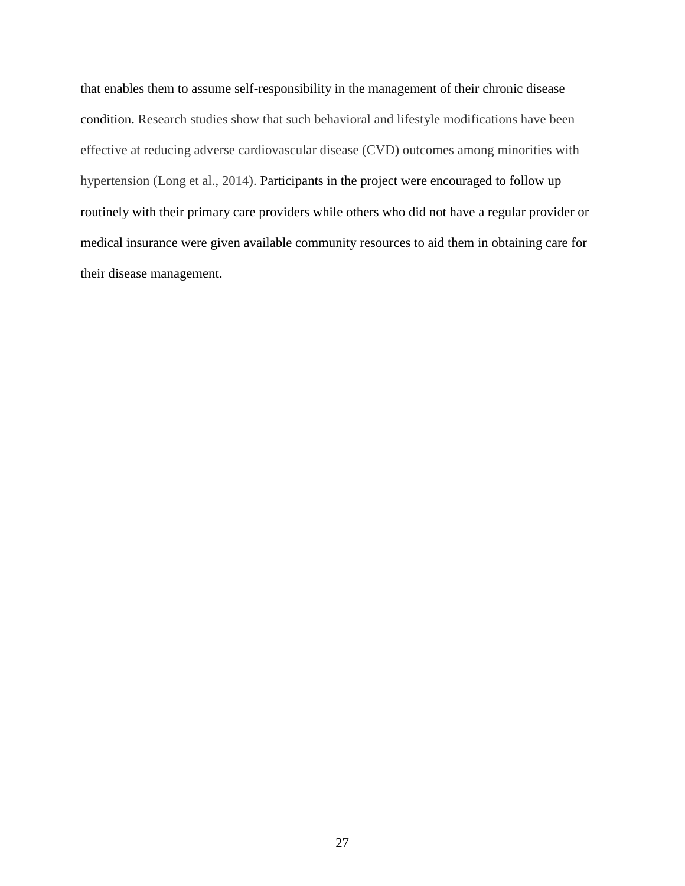that enables them to assume self-responsibility in the management of their chronic disease condition. Research studies show that such behavioral and lifestyle modifications have been effective at reducing adverse cardiovascular disease (CVD) outcomes among minorities with hypertension (Long et al., 2014). Participants in the project were encouraged to follow up routinely with their primary care providers while others who did not have a regular provider or medical insurance were given available community resources to aid them in obtaining care for their disease management.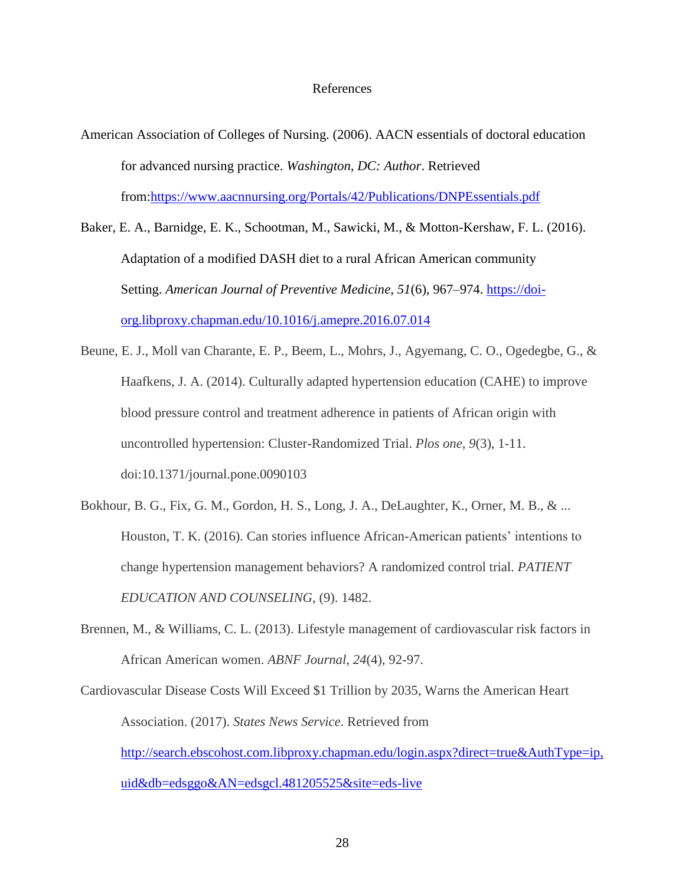#### References

- American Association of Colleges of Nursing. (2006). AACN essentials of doctoral education for advanced nursing practice. *Washington, DC: Author*. Retrieved from[:https://www.aacnnursing.org/Portals/42/Publications/DNPEssentials.pdf](https://www.aacnnursing.org/Portals/42/Publications/DNPEssentials.pdf)
- Baker, E. A., Barnidge, E. K., Schootman, M., Sawicki, M., & Motton-Kershaw, F. L. (2016). Adaptation of a modified DASH diet to a rural African American community Setting. *American Journal of Preventive Medicine*, *51*(6), 967–974. [https://doi](https://doi-org.libproxy.chapman.edu/10.1016/j.amepre.2016.07.014)[org.libproxy.chapman.edu/10.1016/j.amepre.2016.07.014](https://doi-org.libproxy.chapman.edu/10.1016/j.amepre.2016.07.014)
- Beune, E. J., Moll van Charante, E. P., Beem, L., Mohrs, J., Agyemang, C. O., Ogedegbe, G., & Haafkens, J. A. (2014). Culturally adapted hypertension education (CAHE) to improve blood pressure control and treatment adherence in patients of African origin with uncontrolled hypertension: Cluster-Randomized Trial. *Plos one*, *9*(3), 1-11. doi:10.1371/journal.pone.0090103
- Bokhour, B. G., Fix, G. M., Gordon, H. S., Long, J. A., DeLaughter, K., Orner, M. B., & ... Houston, T. K. (2016). Can stories influence African-American patients' intentions to change hypertension management behaviors? A randomized control trial. *PATIENT EDUCATION AND COUNSELING*, (9). 1482.
- Brennen, M., & Williams, C. L. (2013). Lifestyle management of cardiovascular risk factors in African American women. *ABNF Journal*, *24*(4), 92-97.
- Cardiovascular Disease Costs Will Exceed \$1 Trillion by 2035, Warns the American Heart Association. (2017). *States News Service*. Retrieved from [http://search.ebscohost.com.libproxy.chapman.edu/login.aspx?direct=true&AuthType=ip,](http://search.ebscohost.com.libproxy.chapman.edu/login.aspx?direct=true&AuthType=ip,uid&db=edsggo&AN=edsgcl.481205525&site=eds-live) [uid&db=edsggo&AN=edsgcl.481205525&site=eds-live](http://search.ebscohost.com.libproxy.chapman.edu/login.aspx?direct=true&AuthType=ip,uid&db=edsggo&AN=edsgcl.481205525&site=eds-live)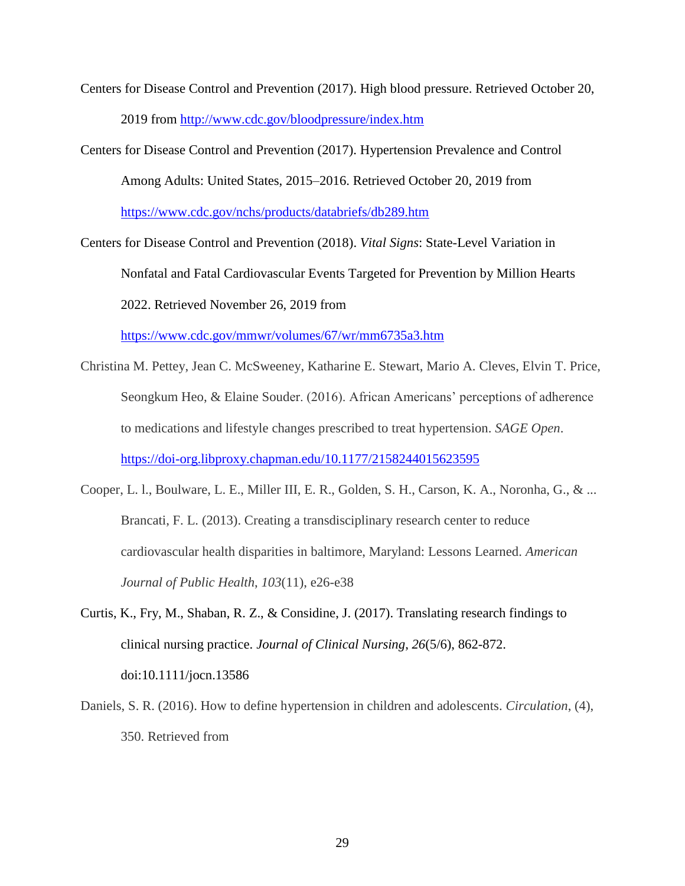- Centers for Disease Control and Prevention (2017). High blood pressure. Retrieved October 20, 2019 from<http://www.cdc.gov/bloodpressure/index.htm>
- Centers for Disease Control and Prevention (2017). Hypertension Prevalence and Control Among Adults: United States, 2015–2016. Retrieved October 20, 2019 from <https://www.cdc.gov/nchs/products/databriefs/db289.htm>

Centers for Disease Control and Prevention (2018). *Vital Signs*: State-Level Variation in Nonfatal and Fatal Cardiovascular Events Targeted for Prevention by Million Hearts 2022. Retrieved November 26, 2019 from

<https://www.cdc.gov/mmwr/volumes/67/wr/mm6735a3.htm>

- Christina M. Pettey, Jean C. McSweeney, Katharine E. Stewart, Mario A. Cleves, Elvin T. Price, Seongkum Heo, & Elaine Souder. (2016). African Americans' perceptions of adherence to medications and lifestyle changes prescribed to treat hypertension. *SAGE Open*. <https://doi-org.libproxy.chapman.edu/10.1177/2158244015623595>
- Cooper, L. l., Boulware, L. E., Miller III, E. R., Golden, S. H., Carson, K. A., Noronha, G., & ... Brancati, F. L. (2013). Creating a transdisciplinary research center to reduce cardiovascular health disparities in baltimore, Maryland: Lessons Learned. *American Journal of Public Health*, *103*(11), e26-e38
- Curtis, K., Fry, M., Shaban, R. Z., & Considine, J. (2017). Translating research findings to clinical nursing practice. *Journal of Clinical Nursing*, *26*(5/6), 862-872. doi:10.1111/jocn.13586
- Daniels, S. R. (2016). How to define hypertension in children and adolescents. *Circulation*, (4), 350. Retrieved from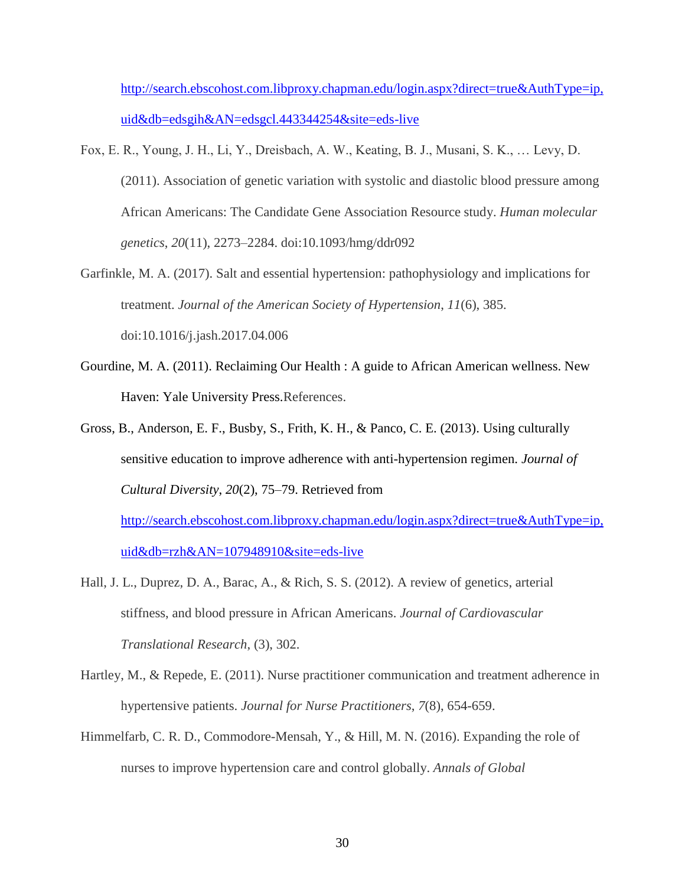[http://search.ebscohost.com.libproxy.chapman.edu/login.aspx?direct=true&AuthType=ip,](http://search.ebscohost.com.libproxy.chapman.edu/login.aspx?direct=true&AuthType=ip,uid&db=edsgih&AN=edsgcl.443344254&site=eds-live) [uid&db=edsgih&AN=edsgcl.443344254&site=eds-live](http://search.ebscohost.com.libproxy.chapman.edu/login.aspx?direct=true&AuthType=ip,uid&db=edsgih&AN=edsgcl.443344254&site=eds-live)

- Fox, E. R., Young, J. H., Li, Y., Dreisbach, A. W., Keating, B. J., Musani, S. K., … Levy, D. (2011). Association of genetic variation with systolic and diastolic blood pressure among African Americans: The Candidate Gene Association Resource study. *Human molecular genetics*, *20*(11), 2273–2284. doi:10.1093/hmg/ddr092
- Garfinkle, M. A. (2017). Salt and essential hypertension: pathophysiology and implications for treatment. *Journal of the American Society of Hypertension*, *11*(6), 385. doi:10.1016/j.jash.2017.04.006
- Gourdine, M. A. (2011). Reclaiming Our Health : A guide to African American wellness. New Haven: Yale University Press.References.
- Gross, B., Anderson, E. F., Busby, S., Frith, K. H., & Panco, C. E. (2013). Using culturally sensitive education to improve adherence with anti-hypertension regimen. *Journal of Cultural Diversity*, *20*(2), 75–79. Retrieved from [http://search.ebscohost.com.libproxy.chapman.edu/login.aspx?direct=true&AuthType=ip,](http://search.ebscohost.com.libproxy.chapman.edu/login.aspx?direct=true&AuthType=ip,uid&db=rzh&AN=107948910&site=eds-live)
- Hall, J. L., Duprez, D. A., Barac, A., & Rich, S. S. (2012). A review of genetics, arterial stiffness, and blood pressure in African Americans. *Journal of Cardiovascular Translational Research*, (3), 302.

[uid&db=rzh&AN=107948910&site=eds-live](http://search.ebscohost.com.libproxy.chapman.edu/login.aspx?direct=true&AuthType=ip,uid&db=rzh&AN=107948910&site=eds-live)

- Hartley, M., & Repede, E. (2011). Nurse practitioner communication and treatment adherence in hypertensive patients. *Journal for Nurse Practitioners*, *7*(8), 654-659.
- Himmelfarb, C. R. D., Commodore-Mensah, Y., & Hill, M. N. (2016). Expanding the role of nurses to improve hypertension care and control globally. *Annals of Global*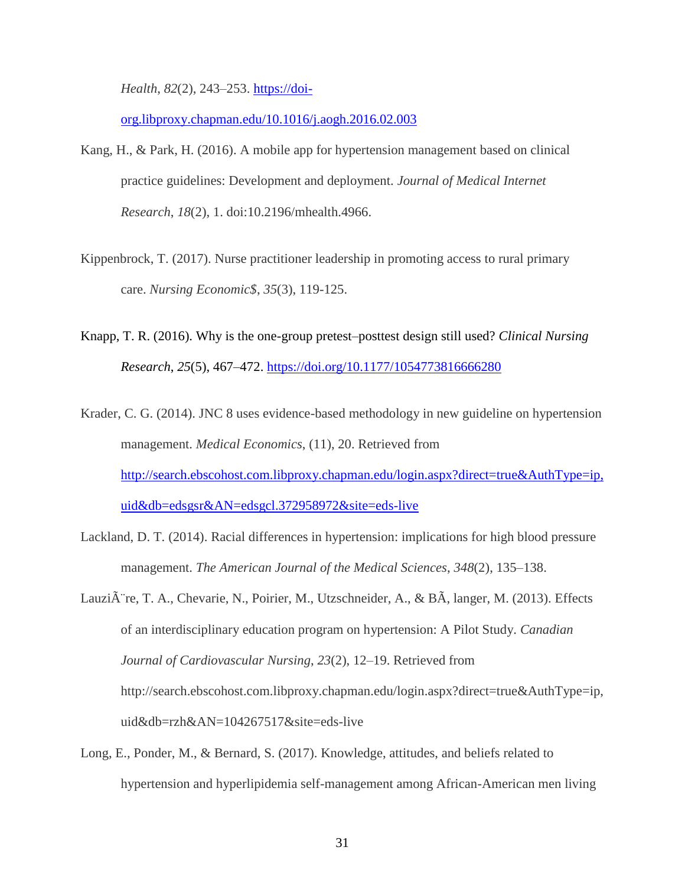*Health*, *82*(2), 243–253. [https://doi-](https://doi-org.libproxy.chapman.edu/10.1016/j.aogh.2016.02.003)

[org.libproxy.chapman.edu/10.1016/j.aogh.2016.02.003](https://doi-org.libproxy.chapman.edu/10.1016/j.aogh.2016.02.003)

- Kang, H., & Park, H. (2016). A mobile app for hypertension management based on clinical practice guidelines: Development and deployment. *Journal of Medical Internet Research*, *18*(2), 1. doi:10.2196/mhealth.4966.
- Kippenbrock, T. (2017). Nurse practitioner leadership in promoting access to rural primary care. *Nursing Economic\$*, *35*(3), 119-125.
- Knapp, T. R. (2016). Why is the one-group pretest–posttest design still used? *Clinical Nursing Research*, *25*(5), 467–472. <https://doi.org/10.1177/1054773816666280>
- Krader, C. G. (2014). JNC 8 uses evidence-based methodology in new guideline on hypertension management. *Medical Economics*, (11), 20. Retrieved from [http://search.ebscohost.com.libproxy.chapman.edu/login.aspx?direct=true&AuthType=ip,](http://search.ebscohost.com.libproxy.chapman.edu/login.aspx?direct=true&AuthType=ip,uid&db=edsgsr&AN=edsgcl.372958972&site=eds-live) [uid&db=edsgsr&AN=edsgcl.372958972&site=eds-live](http://search.ebscohost.com.libproxy.chapman.edu/login.aspx?direct=true&AuthType=ip,uid&db=edsgsr&AN=edsgcl.372958972&site=eds-live)
- Lackland, D. T. (2014). Racial differences in hypertension: implications for high blood pressure management. *The American Journal of the Medical Sciences*, *348*(2), 135–138.
- Lauzi $\tilde{A}$  re, T. A., Chevarie, N., Poirier, M., Utzschneider, A., & B $\tilde{A}$ , langer, M. (2013). Effects of an interdisciplinary education program on hypertension: A Pilot Study. *Canadian Journal of Cardiovascular Nursing*, *23*(2), 12–19. Retrieved from http://search.ebscohost.com.libproxy.chapman.edu/login.aspx?direct=true&AuthType=ip, uid&db=rzh&AN=104267517&site=eds-live
- Long, E., Ponder, M., & Bernard, S. (2017). Knowledge, attitudes, and beliefs related to hypertension and hyperlipidemia self-management among African-American men living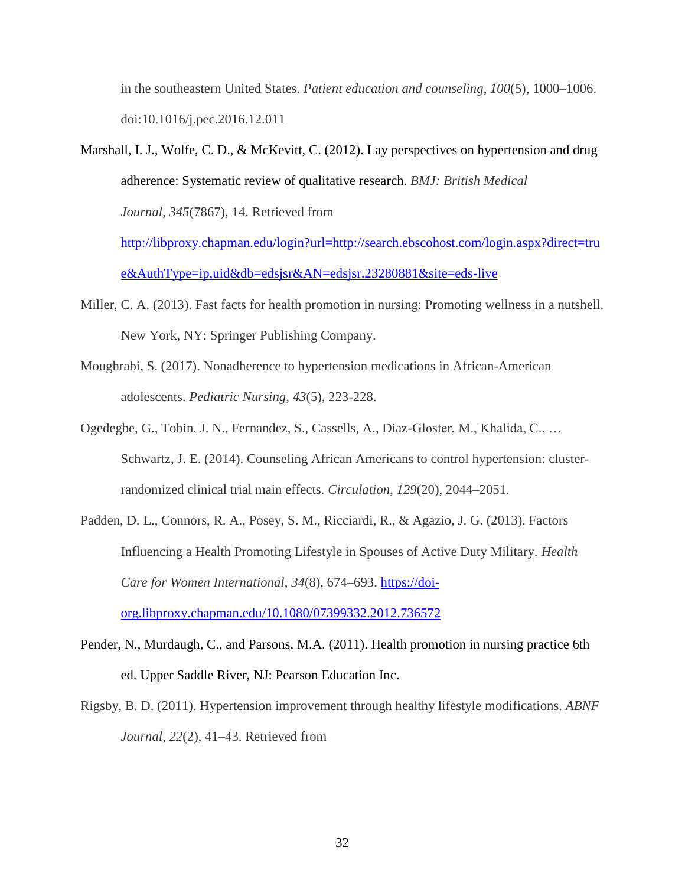in the southeastern United States. *Patient education and counseling*, *100*(5), 1000–1006. doi:10.1016/j.pec.2016.12.011

- Marshall, I. J., Wolfe, C. D., & McKevitt, C. (2012). Lay perspectives on hypertension and drug adherence: Systematic review of qualitative research. *BMJ: British Medical Journal*, *345*(7867), 14. Retrieved from [http://libproxy.chapman.edu/login?url=http://search.ebscohost.com/login.aspx?direct=tru](http://libproxy.chapman.edu/login?url=http://search.ebscohost.com/login.aspx?direct=true&AuthType=ip,uid&db=edsjsr&AN=edsjsr.23280881&site=eds-live) [e&AuthType=ip,uid&db=edsjsr&AN=edsjsr.23280881&site=eds-live](http://libproxy.chapman.edu/login?url=http://search.ebscohost.com/login.aspx?direct=true&AuthType=ip,uid&db=edsjsr&AN=edsjsr.23280881&site=eds-live)
- Miller, C. A. (2013). Fast facts for health promotion in nursing: Promoting wellness in a nutshell. New York, NY: Springer Publishing Company.
- Moughrabi, S. (2017). Nonadherence to hypertension medications in African-American adolescents. *Pediatric Nursing*, *43*(5), 223-228.
- Ogedegbe, G., Tobin, J. N., Fernandez, S., Cassells, A., Diaz-Gloster, M., Khalida, C., … Schwartz, J. E. (2014). Counseling African Americans to control hypertension: clusterrandomized clinical trial main effects. *Circulation*, *129*(20), 2044–2051.
- Padden, D. L., Connors, R. A., Posey, S. M., Ricciardi, R., & Agazio, J. G. (2013). Factors Influencing a Health Promoting Lifestyle in Spouses of Active Duty Military. *Health Care for Women International*, *34*(8), 674–693. [https://doi](https://doi-org.libproxy.chapman.edu/10.1080/07399332.2012.736572)[org.libproxy.chapman.edu/10.1080/07399332.2012.736572](https://doi-org.libproxy.chapman.edu/10.1080/07399332.2012.736572)
- Pender, N., Murdaugh, C., and Parsons, M.A. (2011). Health promotion in nursing practice 6th ed. Upper Saddle River, NJ: Pearson Education Inc.
- Rigsby, B. D. (2011). Hypertension improvement through healthy lifestyle modifications. *ABNF Journal*, *22*(2), 41–43. Retrieved from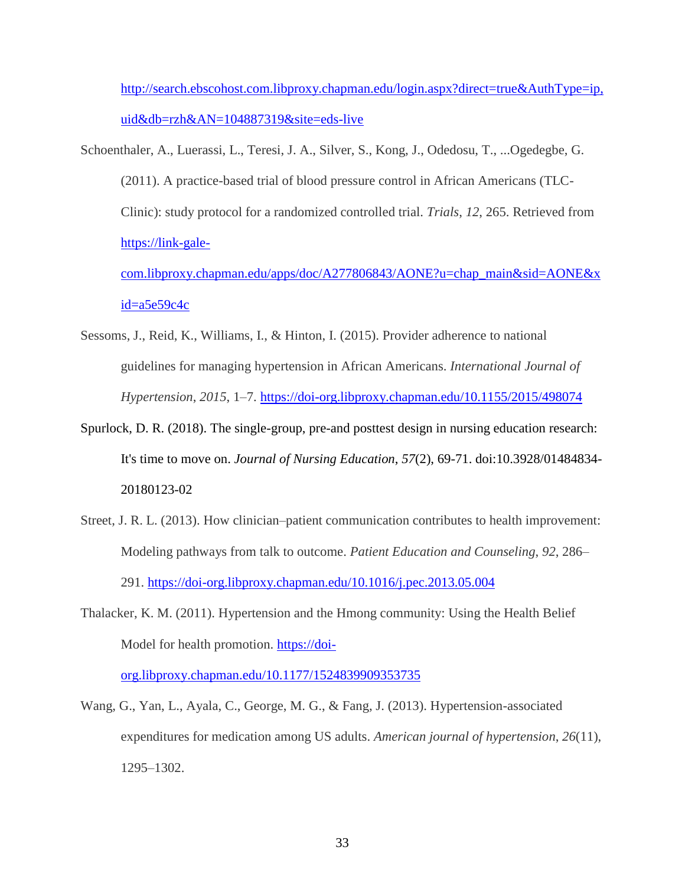[http://search.ebscohost.com.libproxy.chapman.edu/login.aspx?direct=true&AuthType=ip,](http://search.ebscohost.com.libproxy.chapman.edu/login.aspx?direct=true&AuthType=ip,uid&db=rzh&AN=104887319&site=eds-live) [uid&db=rzh&AN=104887319&site=eds-live](http://search.ebscohost.com.libproxy.chapman.edu/login.aspx?direct=true&AuthType=ip,uid&db=rzh&AN=104887319&site=eds-live)

Schoenthaler, A., Luerassi, L., Teresi, J. A., Silver, S., Kong, J., Odedosu, T., ...Ogedegbe, G. (2011). A practice-based trial of blood pressure control in African Americans (TLC-Clinic): study protocol for a randomized controlled trial. *Trials*, *12*, 265. Retrieved from [https://link-gale](https://link-gale-com.libproxy.chapman.edu/apps/doc/A277806843/AONE?u=chap_main&sid=AONE&xid=a5e59c4c)[com.libproxy.chapman.edu/apps/doc/A277806843/AONE?u=chap\\_main&sid=AONE&x](https://link-gale-com.libproxy.chapman.edu/apps/doc/A277806843/AONE?u=chap_main&sid=AONE&xid=a5e59c4c)

#### $id = a5e59c4c$

- Sessoms, J., Reid, K., Williams, I., & Hinton, I. (2015). Provider adherence to national guidelines for managing hypertension in African Americans. *International Journal of Hypertension*, *2015*, 1–7.<https://doi-org.libproxy.chapman.edu/10.1155/2015/498074>
- Spurlock, D. R. (2018). The single-group, pre-and posttest design in nursing education research: It's time to move on. *Journal of Nursing Education*, *57*(2), 69-71. doi:10.3928/01484834- 20180123-02
- Street, J. R. L. (2013). How clinician–patient communication contributes to health improvement: Modeling pathways from talk to outcome. *Patient Education and Counseling*, *92*, 286– 291.<https://doi-org.libproxy.chapman.edu/10.1016/j.pec.2013.05.004>
- Thalacker, K. M. (2011). Hypertension and the Hmong community: Using the Health Belief Model for health promotion. [https://doi-](https://doi-org.libproxy.chapman.edu/10.1177/1524839909353735)

[org.libproxy.chapman.edu/10.1177/1524839909353735](https://doi-org.libproxy.chapman.edu/10.1177/1524839909353735)

Wang, G., Yan, L., Ayala, C., George, M. G., & Fang, J. (2013). Hypertension-associated expenditures for medication among US adults. *American journal of hypertension*, *26*(11), 1295–1302.